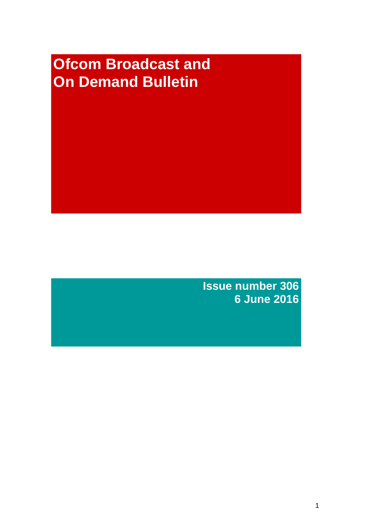# **Ofcom Broadcast and On Demand Bulletin**

**Issue number 306 6 June 2016**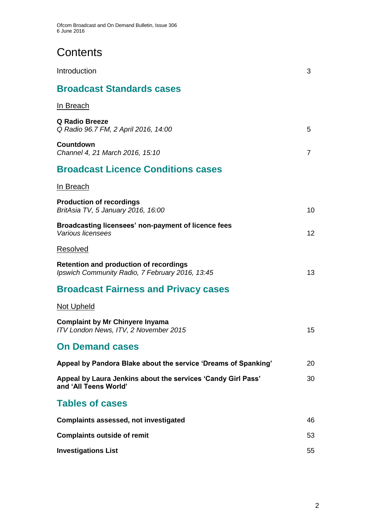# **Contents**

| Introduction                                                                                     | 3  |
|--------------------------------------------------------------------------------------------------|----|
| <b>Broadcast Standards cases</b>                                                                 |    |
| <u>In Breach</u>                                                                                 |    |
| <b>Q Radio Breeze</b><br>Q Radio 96.7 FM, 2 April 2016, 14:00                                    | 5  |
| Countdown<br>Channel 4, 21 March 2016, 15:10                                                     | 7  |
| <b>Broadcast Licence Conditions cases</b>                                                        |    |
| In Breach                                                                                        |    |
| <b>Production of recordings</b><br>BritAsia TV, 5 January 2016, 16:00                            | 10 |
| Broadcasting licensees' non-payment of licence fees<br>Various licensees                         | 12 |
| Resolved                                                                                         |    |
| <b>Retention and production of recordings</b><br>Ipswich Community Radio, 7 February 2016, 13:45 | 13 |
| <b>Broadcast Fairness and Privacy cases</b>                                                      |    |
| <b>Not Upheld</b>                                                                                |    |
| <b>Complaint by Mr Chinyere Inyama</b><br>ITV London News, ITV, 2 November 2015                  | 15 |
| <b>On Demand cases</b>                                                                           |    |
| Appeal by Pandora Blake about the service 'Dreams of Spanking'                                   | 20 |
| Appeal by Laura Jenkins about the services 'Candy Girl Pass'<br>and 'All Teens World'            | 30 |
| <b>Tables of cases</b>                                                                           |    |
| <b>Complaints assessed, not investigated</b>                                                     | 46 |
| <b>Complaints outside of remit</b>                                                               | 53 |
| <b>Investigations List</b>                                                                       | 55 |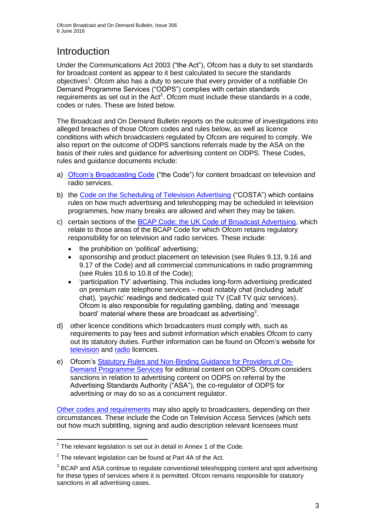# **Introduction**

Under the Communications Act 2003 ("the Act"), Ofcom has a duty to set standards for broadcast content as appear to it best calculated to secure the standards objectives<sup>1</sup>. Ofcom also has a duty to secure that every provider of a notifiable On Demand Programme Services ("ODPS") complies with certain standards requirements as set out in the Act<sup>2</sup>. Ofcom must include these standards in a code, codes or rules. These are listed below.

The Broadcast and On Demand Bulletin reports on the outcome of investigations into alleged breaches of those Ofcom codes and rules below, as well as licence conditions with which broadcasters regulated by Ofcom are required to comply. We also report on the outcome of ODPS sanctions referrals made by the ASA on the basis of their rules and guidance for advertising content on ODPS. These Codes, rules and guidance documents include:

- a) [Ofcom's Broadcasting Code](http://stakeholders.ofcom.org.uk/broadcasting/broadcast-codes/broadcast-code/) ("the Code") for content broadcast on television and radio services.
- b) the [Code on the Scheduling of Television Advertising](http://stakeholders.ofcom.org.uk/binaries/broadcast/other-codes/COSTA_April_2016.pdf) ("COSTA") which contains rules on how much advertising and teleshopping may be scheduled in television programmes, how many breaks are allowed and when they may be taken.
- c) certain sections of the [BCAP Code: the UK Code of Broadcast Advertising,](https://www.cap.org.uk/Advertising-Codes/Broadcast.aspx) which relate to those areas of the BCAP Code for which Ofcom retains regulatory responsibility for on television and radio services. These include:
	- the prohibition on 'political' advertising;
	- sponsorship and product placement on television (see Rules 9.13, 9.16 and 9.17 of the Code) and all commercial communications in radio programming (see Rules 10.6 to 10.8 of the Code);
	- 'participation TV' advertising. This includes long-form advertising predicated on premium rate telephone services – most notably chat (including 'adult' chat), 'psychic' readings and dedicated quiz TV (Call TV quiz services). Ofcom is also responsible for regulating gambling, dating and 'message board' material where these are broadcast as advertising<sup>3</sup>.
- d) other licence conditions which broadcasters must comply with, such as requirements to pay fees and submit information which enables Ofcom to carry out its statutory duties. Further information can be found on Ofcom's website for [television](http://licensing.ofcom.org.uk/tv-broadcast-licences/) and [radio](http://licensing.ofcom.org.uk/radio-broadcast-licensing/) licences.
- e) Ofcom's [Statutory Rules and Non-Binding Guidance for Providers of On-](http://stakeholders.ofcom.org.uk/binaries/broadcast/on-demand/rules-guidance/rules_and_guidance.pdf)[Demand Programme Services](http://stakeholders.ofcom.org.uk/binaries/broadcast/on-demand/rules-guidance/rules_and_guidance.pdf) for editorial content on ODPS. Ofcom considers sanctions in relation to advertising content on ODPS on referral by the Advertising Standards Authority ("ASA"), the co-regulator of ODPS for advertising or may do so as a concurrent regulator.

[Other codes and requirements](http://stakeholders.ofcom.org.uk/broadcasting/broadcast-codes/) may also apply to broadcasters, depending on their circumstances. These include the Code on Television Access Services (which sets out how much subtitling, signing and audio description relevant licensees must

<sup>1</sup>  $1$  The relevant legislation is set out in detail in Annex 1 of the Code.

 $2$  The relevant legislation can be found at Part 4A of the Act.

 $3$  BCAP and ASA continue to regulate conventional teleshopping content and spot advertising for these types of services where it is permitted. Ofcom remains responsible for statutory sanctions in all advertising cases.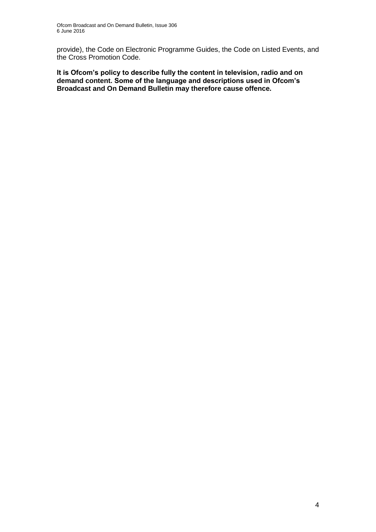provide), the Code on Electronic Programme Guides, the Code on Listed Events, and the Cross Promotion Code.

**It is Ofcom's policy to describe fully the content in television, radio and on demand content. Some of the language and descriptions used in Ofcom's Broadcast and On Demand Bulletin may therefore cause offence.**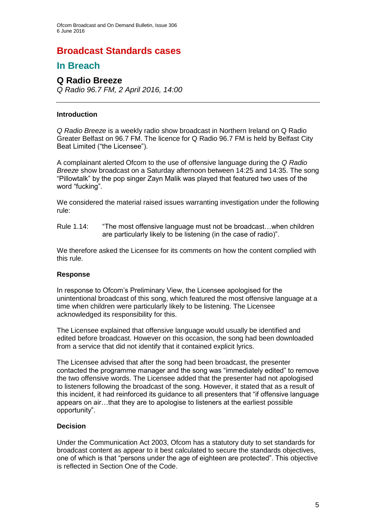# **Broadcast Standards cases**

# **In Breach**

## **Q Radio Breeze**

*Q Radio 96.7 FM, 2 April 2016, 14:00*

#### **Introduction**

*Q Radio Breeze* is a weekly radio show broadcast in Northern Ireland on Q Radio Greater Belfast on 96.7 FM. The licence for Q Radio 96.7 FM is held by Belfast City Beat Limited ("the Licensee").

A complainant alerted Ofcom to the use of offensive language during the *Q Radio Breeze* show broadcast on a Saturday afternoon between 14:25 and 14:35. The song "Pillowtalk" by the pop singer Zayn Malik was played that featured two uses of the word "fucking".

We considered the material raised issues warranting investigation under the following rule:

Rule 1.14: "The most offensive language must not be broadcast…when children are particularly likely to be listening (in the case of radio)".

We therefore asked the Licensee for its comments on how the content complied with this rule.

#### **Response**

In response to Ofcom's Preliminary View, the Licensee apologised for the unintentional broadcast of this song, which featured the most offensive language at a time when children were particularly likely to be listening. The Licensee acknowledged its responsibility for this.

The Licensee explained that offensive language would usually be identified and edited before broadcast. However on this occasion, the song had been downloaded from a service that did not identify that it contained explicit lyrics.

The Licensee advised that after the song had been broadcast, the presenter contacted the programme manager and the song was "immediately edited" to remove the two offensive words. The Licensee added that the presenter had not apologised to listeners following the broadcast of the song. However, it stated that as a result of this incident, it had reinforced its guidance to all presenters that "if offensive language appears on air…that they are to apologise to listeners at the earliest possible opportunity".

#### **Decision**

Under the Communication Act 2003, Ofcom has a statutory duty to set standards for broadcast content as appear to it best calculated to secure the standards objectives, one of which is that "persons under the age of eighteen are protected". This objective is reflected in Section One of the Code.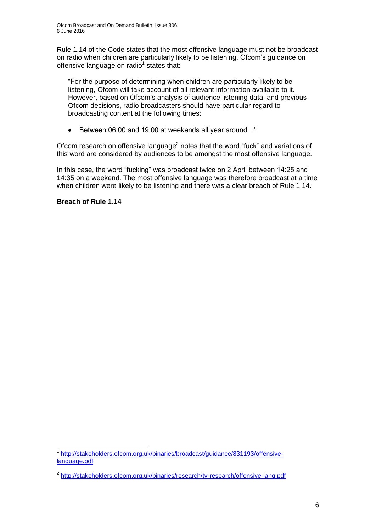Rule 1.14 of the Code states that the most offensive language must not be broadcast on radio when children are particularly likely to be listening. Ofcom's guidance on offensive language on radio<sup>1</sup> states that:

"For the purpose of determining when children are particularly likely to be listening, Ofcom will take account of all relevant information available to it. However, based on Ofcom's analysis of audience listening data, and previous Ofcom decisions, radio broadcasters should have particular regard to broadcasting content at the following times:

● Between 06:00 and 19:00 at weekends all year around...".

Ofcom research on offensive language<sup>2</sup> notes that the word "fuck" and variations of this word are considered by audiences to be amongst the most offensive language.

In this case, the word "fucking" was broadcast twice on 2 April between 14:25 and 14:35 on a weekend. The most offensive language was therefore broadcast at a time when children were likely to be listening and there was a clear breach of Rule 1.14.

### **Breach of Rule 1.14**

<sup>1</sup> 1 [http://stakeholders.ofcom.org.uk/binaries/broadcast/guidance/831193/offensive](http://stakeholders.ofcom.org.uk/binaries/broadcast/guidance/831193/offensive-language.pdf)[language.pdf](http://stakeholders.ofcom.org.uk/binaries/broadcast/guidance/831193/offensive-language.pdf)

<sup>&</sup>lt;sup>2</sup> <http://stakeholders.ofcom.org.uk/binaries/research/tv-research/offensive-lang.pdf>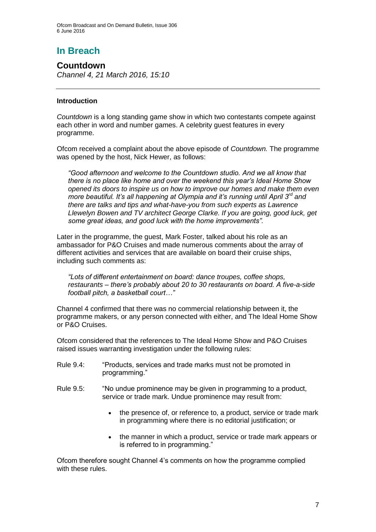Ofcom Broadcast and On Demand Bulletin, Issue 306 6 June 2016

# **In Breach**

**Countdown** *Channel 4, 21 March 2016, 15:10* 

#### **Introduction**

*Countdown* is a long standing game show in which two contestants compete against each other in word and number games. A celebrity guest features in every programme.

Ofcom received a complaint about the above episode of *Countdown.* The programme was opened by the host, Nick Hewer, as follows:

*"Good afternoon and welcome to the Countdown studio. And we all know that there is no place like home and over the weekend this year's Ideal Home Show opened its doors to inspire us on how to improve our homes and make them even more beautiful. It's all happening at Olympia and it's running until April 3rd and there are talks and tips and what-have-you from such experts as Lawrence Llewelyn Bowen and TV architect George Clarke. If you are going, good luck, get some great ideas, and good luck with the home improvements".*

Later in the programme, the guest, Mark Foster, talked about his role as an ambassador for P&O Cruises and made numerous comments about the array of different activities and services that are available on board their cruise ships, including such comments as:

*"Lots of different entertainment on board: dance troupes, coffee shops, restaurants – there's probably about 20 to 30 restaurants on board. A five-a-side football pitch, a basketball court…"*

Channel 4 confirmed that there was no commercial relationship between it, the programme makers, or any person connected with either, and The Ideal Home Show or P&O Cruises.

Ofcom considered that the references to The Ideal Home Show and P&O Cruises raised issues warranting investigation under the following rules:

- Rule 9.4: "Products, services and trade marks must not be promoted in programming."
- Rule 9.5: "No undue prominence may be given in programming to a product, service or trade mark. Undue prominence may result from:
	- the presence of, or reference to, a product, service or trade mark in programming where there is no editorial justification; or
	- the manner in which a product, service or trade mark appears or is referred to in programming."

Ofcom therefore sought Channel 4's comments on how the programme complied with these rules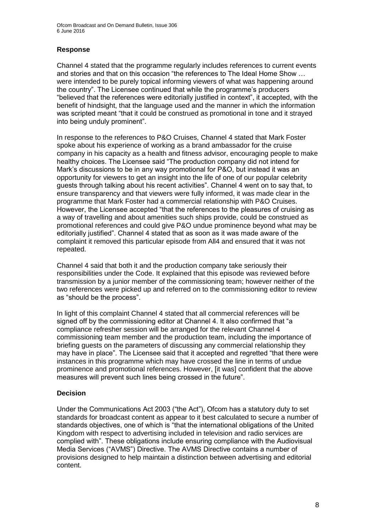Ofcom Broadcast and On Demand Bulletin, Issue 306 6 June 2016

#### **Response**

Channel 4 stated that the programme regularly includes references to current events and stories and that on this occasion "the references to The Ideal Home Show … were intended to be purely topical informing viewers of what was happening around the country". The Licensee continued that while the programme's producers "believed that the references were editorially justified in context", it accepted, with the benefit of hindsight, that the language used and the manner in which the information was scripted meant "that it could be construed as promotional in tone and it strayed into being unduly prominent".

In response to the references to P&O Cruises, Channel 4 stated that Mark Foster spoke about his experience of working as a brand ambassador for the cruise company in his capacity as a health and fitness advisor, encouraging people to make healthy choices. The Licensee said "The production company did not intend for Mark's discussions to be in any way promotional for P&O, but instead it was an opportunity for viewers to get an insight into the life of one of our popular celebrity guests through talking about his recent activities". Channel 4 went on to say that, to ensure transparency and that viewers were fully informed, it was made clear in the programme that Mark Foster had a commercial relationship with P&O Cruises. However, the Licensee accepted "that the references to the pleasures of cruising as a way of travelling and about amenities such ships provide, could be construed as promotional references and could give P&O undue prominence beyond what may be editorially justified". Channel 4 stated that as soon as it was made aware of the complaint it removed this particular episode from All4 and ensured that it was not repeated.

Channel 4 said that both it and the production company take seriously their responsibilities under the Code. It explained that this episode was reviewed before transmission by a junior member of the commissioning team; however neither of the two references were picked up and referred on to the commissioning editor to review as "should be the process".

In light of this complaint Channel 4 stated that all commercial references will be signed off by the commissioning editor at Channel 4. It also confirmed that "a compliance refresher session will be arranged for the relevant Channel 4 commissioning team member and the production team, including the importance of briefing guests on the parameters of discussing any commercial relationship they may have in place". The Licensee said that it accepted and regretted "that there were instances in this programme which may have crossed the line in terms of undue prominence and promotional references. However, [it was] confident that the above measures will prevent such lines being crossed in the future".

#### **Decision**

Under the Communications Act 2003 ("the Act"), Ofcom has a statutory duty to set standards for broadcast content as appear to it best calculated to secure a number of standards objectives, one of which is "that the international obligations of the United Kingdom with respect to advertising included in television and radio services are complied with". These obligations include ensuring compliance with the Audiovisual Media Services ("AVMS") Directive. The AVMS Directive contains a number of provisions designed to help maintain a distinction between advertising and editorial content.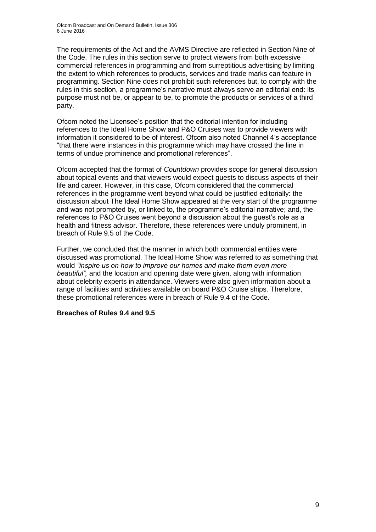The requirements of the Act and the AVMS Directive are reflected in Section Nine of the Code. The rules in this section serve to protect viewers from both excessive commercial references in programming and from surreptitious advertising by limiting the extent to which references to products, services and trade marks can feature in programming. Section Nine does not prohibit such references but, to comply with the rules in this section, a programme's narrative must always serve an editorial end: its purpose must not be, or appear to be, to promote the products or services of a third party.

Ofcom noted the Licensee's position that the editorial intention for including references to the Ideal Home Show and P&O Cruises was to provide viewers with information it considered to be of interest. Ofcom also noted Channel 4's acceptance "that there were instances in this programme which may have crossed the line in terms of undue prominence and promotional references".

Ofcom accepted that the format of *Countdown* provides scope for general discussion about topical events and that viewers would expect guests to discuss aspects of their life and career. However, in this case, Ofcom considered that the commercial references in the programme went beyond what could be justified editorially: the discussion about The Ideal Home Show appeared at the very start of the programme and was not prompted by, or linked to, the programme's editorial narrative; and, the references to P&O Cruises went beyond a discussion about the guest's role as a health and fitness advisor. Therefore, these references were unduly prominent, in breach of Rule 9.5 of the Code.

Further, we concluded that the manner in which both commercial entities were discussed was promotional. The Ideal Home Show was referred to as something that would *"inspire us on how to improve our homes and make them even more beautiful",* and the location and opening date were given, along with information about celebrity experts in attendance. Viewers were also given information about a range of facilities and activities available on board P&O Cruise ships. Therefore, these promotional references were in breach of Rule 9.4 of the Code.

#### **Breaches of Rules 9.4 and 9.5**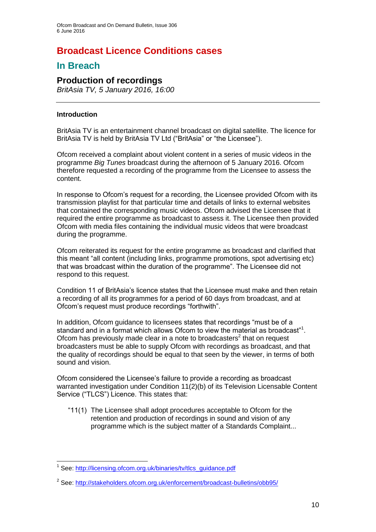# **Broadcast Licence Conditions cases**

# **In Breach**

# **Production of recordings**

*BritAsia TV, 5 January 2016, 16:00*

#### **Introduction**

BritAsia TV is an entertainment channel broadcast on digital satellite. The licence for BritAsia TV is held by BritAsia TV Ltd ("BritAsia" or "the Licensee").

Ofcom received a complaint about violent content in a series of music videos in the programme *Big Tunes* broadcast during the afternoon of 5 January 2016. Ofcom therefore requested a recording of the programme from the Licensee to assess the content.

In response to Ofcom's request for a recording, the Licensee provided Ofcom with its transmission playlist for that particular time and details of links to external websites that contained the corresponding music videos. Ofcom advised the Licensee that it required the entire programme as broadcast to assess it. The Licensee then provided Ofcom with media files containing the individual music videos that were broadcast during the programme.

Ofcom reiterated its request for the entire programme as broadcast and clarified that this meant "all content (including links, programme promotions, spot advertising etc) that was broadcast within the duration of the programme". The Licensee did not respond to this request.

Condition 11 of BritAsia's licence states that the Licensee must make and then retain a recording of all its programmes for a period of 60 days from broadcast, and at Ofcom's request must produce recordings "forthwith".

In addition, Ofcom guidance to licensees states that recordings "must be of a standard and in a format which allows Ofcom to view the material as broadcast"<sup>1</sup>. Ofcom has previously made clear in a note to broadcasters $2$  that on request broadcasters must be able to supply Ofcom with recordings as broadcast, and that the quality of recordings should be equal to that seen by the viewer, in terms of both sound and vision.

Ofcom considered the Licensee's failure to provide a recording as broadcast warranted investigation under Condition 11(2)(b) of its Television Licensable Content Service ("TLCS") Licence. This states that:

"11(1) The Licensee shall adopt procedures acceptable to Ofcom for the retention and production of recordings in sound and vision of any programme which is the subject matter of a Standards Complaint...

<sup>1</sup> <sup>1</sup> See: [http://licensing.ofcom.org.uk/binaries/tv/tlcs\\_guidance.pdf](http://licensing.ofcom.org.uk/binaries/tv/tlcs_guidance.pdf)

<sup>&</sup>lt;sup>2</sup> See:<http://stakeholders.ofcom.org.uk/enforcement/broadcast-bulletins/obb95/>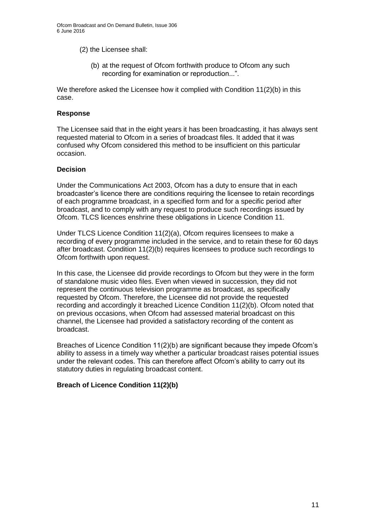Ofcom Broadcast and On Demand Bulletin, Issue 306 6 June 2016

- (2) the Licensee shall:
	- (b) at the request of Ofcom forthwith produce to Ofcom any such recording for examination or reproduction...".

We therefore asked the Licensee how it complied with Condition 11(2)(b) in this case.

#### **Response**

The Licensee said that in the eight years it has been broadcasting, it has always sent requested material to Ofcom in a series of broadcast files. It added that it was confused why Ofcom considered this method to be insufficient on this particular occasion.

#### **Decision**

Under the Communications Act 2003, Ofcom has a duty to ensure that in each broadcaster's licence there are conditions requiring the licensee to retain recordings of each programme broadcast, in a specified form and for a specific period after broadcast, and to comply with any request to produce such recordings issued by Ofcom. TLCS licences enshrine these obligations in Licence Condition 11.

Under TLCS Licence Condition 11(2)(a), Ofcom requires licensees to make a recording of every programme included in the service, and to retain these for 60 days after broadcast. Condition 11(2)(b) requires licensees to produce such recordings to Ofcom forthwith upon request.

In this case, the Licensee did provide recordings to Ofcom but they were in the form of standalone music video files. Even when viewed in succession, they did not represent the continuous television programme as broadcast, as specifically requested by Ofcom. Therefore, the Licensee did not provide the requested recording and accordingly it breached Licence Condition 11(2)(b). Ofcom noted that on previous occasions, when Ofcom had assessed material broadcast on this channel, the Licensee had provided a satisfactory recording of the content as broadcast.

Breaches of Licence Condition 11(2)(b) are significant because they impede Ofcom's ability to assess in a timely way whether a particular broadcast raises potential issues under the relevant codes. This can therefore affect Ofcom's ability to carry out its statutory duties in regulating broadcast content.

#### **Breach of Licence Condition 11(2)(b)**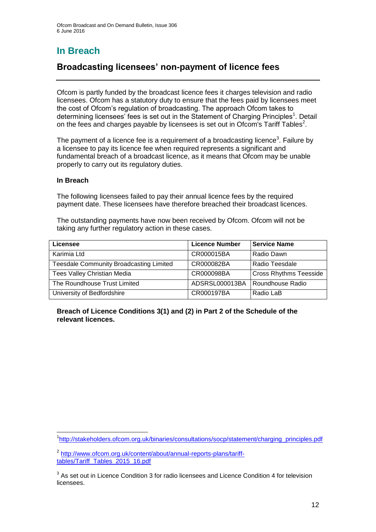# **In Breach**

# **Broadcasting licensees' non-payment of licence fees**

Ofcom is partly funded by the broadcast licence fees it charges television and radio licensees. Ofcom has a statutory duty to ensure that the fees paid by licensees meet the cost of Ofcom's regulation of broadcasting. The approach Ofcom takes to determining licensees' fees is set out in the Statement of Charging Principles<sup>1</sup>. Detail on the fees and charges payable by licensees is set out in Ofcom's Tariff Tables<sup>2</sup>.

The payment of a licence fee is a requirement of a broadcasting licence<sup>3</sup>. Failure by a licensee to pay its licence fee when required represents a significant and fundamental breach of a broadcast licence, as it means that Ofcom may be unable properly to carry out its regulatory duties.

#### **In Breach**

The following licensees failed to pay their annual licence fees by the required payment date. These licensees have therefore breached their broadcast licences.

The outstanding payments have now been received by Ofcom. Ofcom will not be taking any further regulatory action in these cases.

| Licensee                                       | <b>Licence Number</b> | <b>Service Name</b>           |
|------------------------------------------------|-----------------------|-------------------------------|
| Karimia Ltd                                    | CR000015BA            | Radio Dawn                    |
| <b>Teesdale Community Broadcasting Limited</b> | CR000082BA            | Radio Teesdale                |
| <b>Tees Valley Christian Media</b>             | CR000098BA            | <b>Cross Rhythms Teesside</b> |
| The Roundhouse Trust Limited                   | ADSRSL000013BA        | Roundhouse Radio              |
| University of Bedfordshire                     | CR000197BA            | Radio LaB                     |

**Breach of Licence Conditions 3(1) and (2) in Part 2 of the Schedule of the relevant licences.**

<sup>1</sup> <sup>1</sup>[http://stakeholders.ofcom.org.uk/binaries/consultations/socp/statement/charging\\_principles.pdf](http://stakeholders.ofcom.org.uk/binaries/consultations/socp/statement/charging_principles.pdf)

<sup>&</sup>lt;sup>2</sup> [http://www.ofcom.org.uk/content/about/annual-reports-plans/tariff](http://www.ofcom.org.uk/content/about/annual-reports-plans/tariff-tables/Tariff_Tables_2015_16.pdf)[tables/Tariff\\_Tables\\_2015\\_16.pdf](http://www.ofcom.org.uk/content/about/annual-reports-plans/tariff-tables/Tariff_Tables_2015_16.pdf)

 $3$  As set out in Licence Condition 3 for radio licensees and Licence Condition 4 for television **licensees**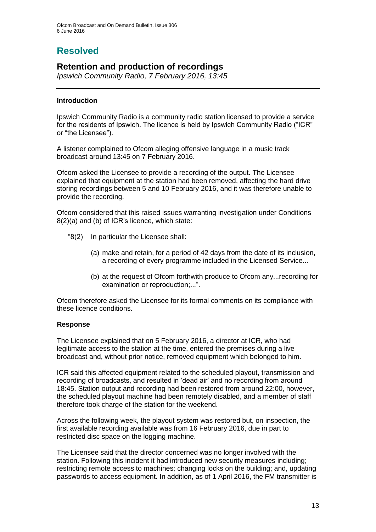# **Resolved**

# **Retention and production of recordings**

*Ipswich Community Radio, 7 February 2016, 13:45*

#### **Introduction**

Ipswich Community Radio is a community radio station licensed to provide a service for the residents of Ipswich. The licence is held by Ipswich Community Radio ("ICR" or "the Licensee").

A listener complained to Ofcom alleging offensive language in a music track broadcast around 13:45 on 7 February 2016.

Ofcom asked the Licensee to provide a recording of the output. The Licensee explained that equipment at the station had been removed, affecting the hard drive storing recordings between 5 and 10 February 2016, and it was therefore unable to provide the recording.

Ofcom considered that this raised issues warranting investigation under Conditions 8(2)(a) and (b) of ICR's licence, which state:

- "8(2) In particular the Licensee shall:
	- (a) make and retain, for a period of 42 days from the date of its inclusion, a recording of every programme included in the Licensed Service...
	- (b) at the request of Ofcom forthwith produce to Ofcom any...recording for examination or reproduction;...".

Ofcom therefore asked the Licensee for its formal comments on its compliance with these licence conditions.

#### **Response**

The Licensee explained that on 5 February 2016, a director at ICR, who had legitimate access to the station at the time, entered the premises during a live broadcast and, without prior notice, removed equipment which belonged to him.

ICR said this affected equipment related to the scheduled playout, transmission and recording of broadcasts, and resulted in 'dead air' and no recording from around 18:45. Station output and recording had been restored from around 22:00, however, the scheduled playout machine had been remotely disabled, and a member of staff therefore took charge of the station for the weekend.

Across the following week, the playout system was restored but, on inspection, the first available recording available was from 16 February 2016, due in part to restricted disc space on the logging machine.

The Licensee said that the director concerned was no longer involved with the station. Following this incident it had introduced new security measures including; restricting remote access to machines; changing locks on the building; and, updating passwords to access equipment. In addition, as of 1 April 2016, the FM transmitter is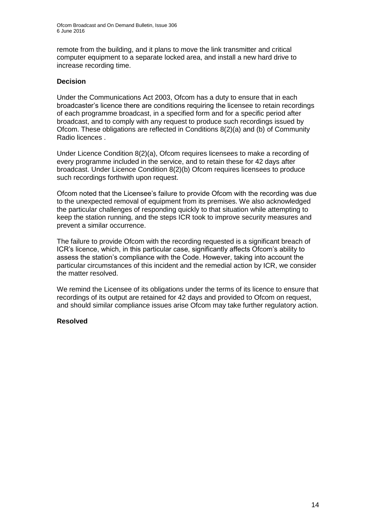remote from the building, and it plans to move the link transmitter and critical computer equipment to a separate locked area, and install a new hard drive to increase recording time.

#### **Decision**

Under the Communications Act 2003, Ofcom has a duty to ensure that in each broadcaster's licence there are conditions requiring the licensee to retain recordings of each programme broadcast, in a specified form and for a specific period after broadcast, and to comply with any request to produce such recordings issued by Ofcom. These obligations are reflected in Conditions 8(2)(a) and (b) of Community Radio licences .

Under Licence Condition 8(2)(a), Ofcom requires licensees to make a recording of every programme included in the service, and to retain these for 42 days after broadcast. Under Licence Condition 8(2)(b) Ofcom requires licensees to produce such recordings forthwith upon request.

Ofcom noted that the Licensee's failure to provide Ofcom with the recording was due to the unexpected removal of equipment from its premises. We also acknowledged the particular challenges of responding quickly to that situation while attempting to keep the station running, and the steps ICR took to improve security measures and prevent a similar occurrence.

The failure to provide Ofcom with the recording requested is a significant breach of ICR's licence, which, in this particular case, significantly affects Ofcom's ability to assess the station's compliance with the Code. However, taking into account the particular circumstances of this incident and the remedial action by ICR, we consider the matter resolved.

We remind the Licensee of its obligations under the terms of its licence to ensure that recordings of its output are retained for 42 days and provided to Ofcom on request, and should similar compliance issues arise Ofcom may take further regulatory action.

### **Resolved**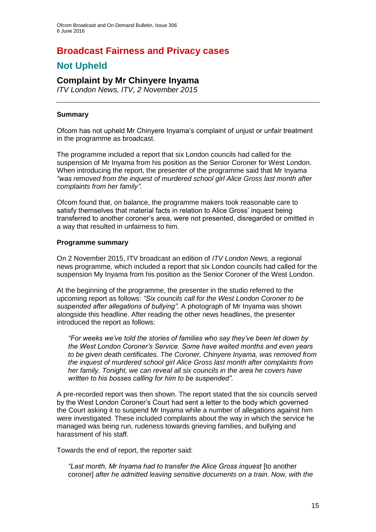# **Broadcast Fairness and Privacy cases**

# **Not Upheld**

# **Complaint by Mr Chinyere Inyama**

*ITV London News, ITV, 2 November 2015*

#### **Summary**

Ofcom has not upheld Mr Chinyere Inyama's complaint of unjust or unfair treatment in the programme as broadcast.

The programme included a report that six London councils had called for the suspension of Mr Inyama from his position as the Senior Coroner for West London. When introducing the report, the presenter of the programme said that Mr Inyama *"was removed from the inquest of murdered school girl Alice Gross last month after complaints from her family".* 

Ofcom found that, on balance, the programme makers took reasonable care to satisfy themselves that material facts in relation to Alice Gross' inquest being transferred to another coroner's area, were not presented, disregarded or omitted in a way that resulted in unfairness to him.

#### **Programme summary**

On 2 November 2015, ITV broadcast an edition of *ITV London News,* a regional news programme, which included a report that six London councils had called for the suspension My Inyama from his position as the Senior Coroner of the West London.

At the beginning of the programme, the presenter in the studio referred to the upcoming report as follows: *"Six councils call for the West London Coroner to be suspended after allegations of bullying".* A photograph of Mr Inyama was shown alongside this headline. After reading the other news headlines, the presenter introduced the report as follows:

*"For weeks we've told the stories of families who say they've been let down by the West London Coroner's Service. Some have waited months and even years to be given death certificates. The Coroner, Chinyere Inyama, was removed from the inquest of murdered school girl Alice Gross last month after complaints from her family. Tonight, we can reveal all six councils in the area he covers have written to his bosses calling for him to be suspended".* 

A pre-recorded report was then shown. The report stated that the six councils served by the West London Coroner's Court had sent a letter to the body which governed the Court asking it to suspend Mr Inyama while a number of allegations against him were investigated. These included complaints about the way in which the service he managed was being run, rudeness towards grieving families, and bullying and harassment of his staff.

Towards the end of report, the reporter said:

*"Last month, Mr Inyama had to transfer the Alice Gross inquest* [to another coroner] *after he admitted leaving sensitive documents on a train. Now, with the*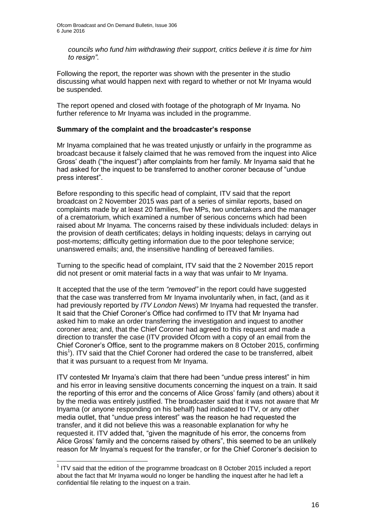*councils who fund him withdrawing their support, critics believe it is time for him to resign"*.

Following the report, the reporter was shown with the presenter in the studio discussing what would happen next with regard to whether or not Mr Inyama would be suspended.

The report opened and closed with footage of the photograph of Mr Inyama. No further reference to Mr Inyama was included in the programme.

#### **Summary of the complaint and the broadcaster's response**

Mr Inyama complained that he was treated unjustly or unfairly in the programme as broadcast because it falsely claimed that he was removed from the inquest into Alice Gross' death ("the inquest") after complaints from her family. Mr Inyama said that he had asked for the inquest to be transferred to another coroner because of "undue press interest".

Before responding to this specific head of complaint, ITV said that the report broadcast on 2 November 2015 was part of a series of similar reports, based on complaints made by at least 20 families, five MPs, two undertakers and the manager of a crematorium, which examined a number of serious concerns which had been raised about Mr Inyama. The concerns raised by these individuals included: delays in the provision of death certificates; delays in holding inquests; delays in carrying out post-mortems; difficulty getting information due to the poor telephone service; unanswered emails; and, the insensitive handling of bereaved families.

Turning to the specific head of complaint, ITV said that the 2 November 2015 report did not present or omit material facts in a way that was unfair to Mr Inyama.

It accepted that the use of the term *"removed"* in the report could have suggested that the case was transferred from Mr Inyama involuntarily when, in fact, (and as it had previously reported by *ITV London News*) Mr Inyama had requested the transfer. It said that the Chief Coroner's Office had confirmed to ITV that Mr Inyama had asked him to make an order transferring the investigation and inquest to another coroner area; and, that the Chief Coroner had agreed to this request and made a direction to transfer the case (ITV provided Ofcom with a copy of an email from the Chief Coroner's Office, sent to the programme makers on 8 October 2015, confirming this<sup>1</sup>). ITV said that the Chief Coroner had ordered the case to be transferred, albeit that it was pursuant to a request from Mr Inyama.

ITV contested Mr Inyama's claim that there had been "undue press interest" in him and his error in leaving sensitive documents concerning the inquest on a train. It said the reporting of this error and the concerns of Alice Gross' family (and others) about it by the media was entirely justified. The broadcaster said that it was not aware that Mr Inyama (or anyone responding on his behalf) had indicated to ITV, or any other media outlet, that "undue press interest" was the reason he had requested the transfer, and it did not believe this was a reasonable explanation for why he requested it. ITV added that, "given the magnitude of his error, the concerns from Alice Gross' family and the concerns raised by others", this seemed to be an unlikely reason for Mr Inyama's request for the transfer, or for the Chief Coroner's decision to

<sup>1</sup>  $1$  ITV said that the edition of the programme broadcast on 8 October 2015 included a report about the fact that Mr Inyama would no longer be handling the inquest after he had left a confidential file relating to the inquest on a train.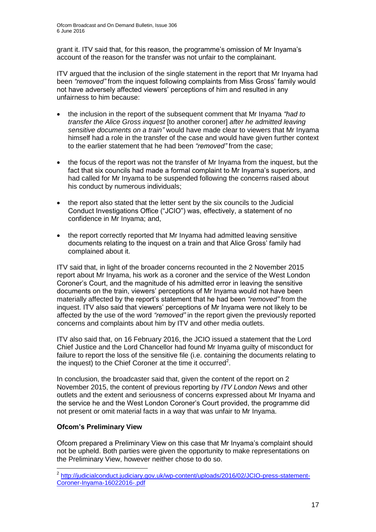grant it. ITV said that, for this reason, the programme's omission of Mr Inyama's account of the reason for the transfer was not unfair to the complainant.

ITV argued that the inclusion of the single statement in the report that Mr Inyama had been *"removed"* from the inquest following complaints from Miss Gross' family would not have adversely affected viewers' perceptions of him and resulted in any unfairness to him because:

- the inclusion in the report of the subsequent comment that Mr Inyama *"had to transfer the Alice Gross inquest* [to another coroner] *after he admitted leaving sensitive documents on a train"* would have made clear to viewers that Mr Inyama himself had a role in the transfer of the case and would have given further context to the earlier statement that he had been *"removed"* from the case;
- the focus of the report was not the transfer of Mr Inyama from the inquest, but the fact that six councils had made a formal complaint to Mr Inyama's superiors, and had called for Mr Inyama to be suspended following the concerns raised about his conduct by numerous individuals;
- the report also stated that the letter sent by the six councils to the Judicial Conduct Investigations Office ("JCIO") was, effectively, a statement of no confidence in Mr Inyama; and,
- the report correctly reported that Mr Inyama had admitted leaving sensitive documents relating to the inquest on a train and that Alice Gross' family had complained about it.

ITV said that, in light of the broader concerns recounted in the 2 November 2015 report about Mr Inyama, his work as a coroner and the service of the West London Coroner's Court, and the magnitude of his admitted error in leaving the sensitive documents on the train, viewers' perceptions of Mr Inyama would not have been materially affected by the report's statement that he had been *"removed"* from the inquest. ITV also said that viewers' perceptions of Mr Inyama were not likely to be affected by the use of the word *"removed"* in the report given the previously reported concerns and complaints about him by ITV and other media outlets.

ITV also said that, on 16 February 2016, the JCIO issued a statement that the Lord Chief Justice and the Lord Chancellor had found Mr Inyama guilty of misconduct for failure to report the loss of the sensitive file (i.e. containing the documents relating to the inquest) to the Chief Coroner at the time it occurred<sup>2</sup>.

In conclusion, the broadcaster said that, given the content of the report on 2 November 2015, the content of previous reporting by *ITV London News* and other outlets and the extent and seriousness of concerns expressed about Mr Inyama and the service he and the West London Coroner's Court provided, the programme did not present or omit material facts in a way that was unfair to Mr Inyama.

### **Ofcom's Preliminary View**

Ofcom prepared a Preliminary View on this case that Mr Inyama's complaint should not be upheld. Both parties were given the opportunity to make representations on the Preliminary View, however neither chose to do so.

 2 [http://judicialconduct.judiciary.gov.uk/wp-content/uploads/2016/02/JCIO-press-statement-](http://judicialconduct.judiciary.gov.uk/wp-content/uploads/2016/02/JCIO-press-statement-Coroner-Inyama-16022016-.pdf)[Coroner-Inyama-16022016-.pdf](http://judicialconduct.judiciary.gov.uk/wp-content/uploads/2016/02/JCIO-press-statement-Coroner-Inyama-16022016-.pdf)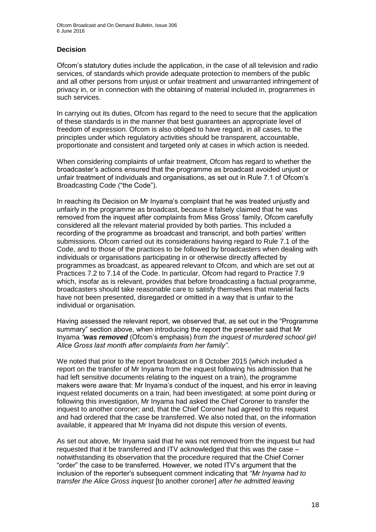### **Decision**

Ofcom's statutory duties include the application, in the case of all television and radio services, of standards which provide adequate protection to members of the public and all other persons from unjust or unfair treatment and unwarranted infringement of privacy in, or in connection with the obtaining of material included in, programmes in such services.

In carrying out its duties, Ofcom has regard to the need to secure that the application of these standards is in the manner that best guarantees an appropriate level of freedom of expression. Ofcom is also obliged to have regard, in all cases, to the principles under which regulatory activities should be transparent, accountable, proportionate and consistent and targeted only at cases in which action is needed.

When considering complaints of unfair treatment, Ofcom has regard to whether the broadcaster's actions ensured that the programme as broadcast avoided unjust or unfair treatment of individuals and organisations, as set out in Rule 7.1 of Ofcom's Broadcasting Code ("the Code").

In reaching its Decision on Mr Inyama's complaint that he was treated unjustly and unfairly in the programme as broadcast, because it falsely claimed that he was removed from the inquest after complaints from Miss Gross' family, Ofcom carefully considered all the relevant material provided by both parties. This included a recording of the programme as broadcast and transcript, and both parties' written submissions. Ofcom carried out its considerations having regard to Rule 7.1 of the Code, and to those of the practices to be followed by broadcasters when dealing with individuals or organisations participating in or otherwise directly affected by programmes as broadcast, as appeared relevant to Ofcom, and which are set out at Practices 7.2 to 7.14 of the Code. In particular, Ofcom had regard to Practice 7.9 which, insofar as is relevant, provides that before broadcasting a factual programme, broadcasters should take reasonable care to satisfy themselves that material facts have not been presented, disregarded or omitted in a way that is unfair to the individual or organisation.

Having assessed the relevant report, we observed that, as set out in the "Programme summary" section above, when introducing the report the presenter said that Mr Inyama *"was removed* (Ofcom's emphasis) *from the inquest of murdered school girl Alice Gross last month after complaints from her family"*.

We noted that prior to the report broadcast on 8 October 2015 (which included a report on the transfer of Mr Inyama from the inquest following his admission that he had left sensitive documents relating to the inquest on a train), the programme makers were aware that: Mr Inyama's conduct of the inquest, and his error in leaving inquest related documents on a train, had been investigated; at some point during or following this investigation, Mr Inyama had asked the Chief Coroner to transfer the inquest to another coroner; and, that the Chief Coroner had agreed to this request and had ordered that the case be transferred. We also noted that, on the information available, it appeared that Mr Inyama did not dispute this version of events.

As set out above, Mr Inyama said that he was not removed from the inquest but had requested that it be transferred and ITV acknowledged that this was the case – notwithstanding its observation that the procedure required that the Chief Corner "order" the case to be transferred. However, we noted ITV's argument that the inclusion of the reporter's subsequent comment indicating that *"Mr Inyama had to transfer the Alice Gross inquest* [to another coroner] *after he admitted leaving*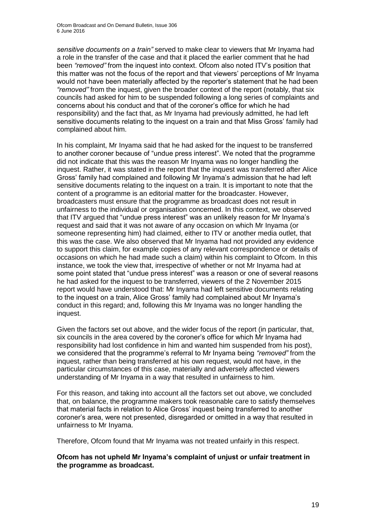*sensitive documents on a train"* served to make clear to viewers that Mr Inyama had a role in the transfer of the case and that it placed the earlier comment that he had been *"removed"* from the inquest into context. Ofcom also noted ITV's position that this matter was not the focus of the report and that viewers' perceptions of Mr Inyama would not have been materially affected by the reporter's statement that he had been *"removed"* from the inquest, given the broader context of the report (notably, that six councils had asked for him to be suspended following a long series of complaints and concerns about his conduct and that of the coroner's office for which he had responsibility) and the fact that, as Mr Inyama had previously admitted, he had left sensitive documents relating to the inquest on a train and that Miss Gross' family had complained about him.

In his complaint, Mr Inyama said that he had asked for the inquest to be transferred to another coroner because of "undue press interest". We noted that the programme did not indicate that this was the reason Mr Inyama was no longer handling the inquest. Rather, it was stated in the report that the inquest was transferred after Alice Gross' family had complained and following Mr Inyama's admission that he had left sensitive documents relating to the inquest on a train. It is important to note that the content of a programme is an editorial matter for the broadcaster. However, broadcasters must ensure that the programme as broadcast does not result in unfairness to the individual or organisation concerned. In this context, we observed that ITV argued that "undue press interest" was an unlikely reason for Mr Inyama's request and said that it was not aware of any occasion on which Mr Inyama (or someone representing him) had claimed, either to ITV or another media outlet, that this was the case. We also observed that Mr Inyama had not provided any evidence to support this claim, for example copies of any relevant correspondence or details of occasions on which he had made such a claim) within his complaint to Ofcom. In this instance, we took the view that, irrespective of whether or not Mr Inyama had at some point stated that "undue press interest" was a reason or one of several reasons he had asked for the inquest to be transferred, viewers of the 2 November 2015 report would have understood that: Mr Inyama had left sensitive documents relating to the inquest on a train, Alice Gross' family had complained about Mr Inyama's conduct in this regard; and, following this Mr Inyama was no longer handling the inquest.

Given the factors set out above, and the wider focus of the report (in particular, that, six councils in the area covered by the coroner's office for which Mr Inyama had responsibility had lost confidence in him and wanted him suspended from his post), we considered that the programme's referral to Mr Inyama being *"removed"* from the inquest, rather than being transferred at his own request, would not have, in the particular circumstances of this case, materially and adversely affected viewers understanding of Mr Inyama in a way that resulted in unfairness to him.

For this reason, and taking into account all the factors set out above, we concluded that, on balance, the programme makers took reasonable care to satisfy themselves that material facts in relation to Alice Gross' inquest being transferred to another coroner's area, were not presented, disregarded or omitted in a way that resulted in unfairness to Mr Inyama.

Therefore, Ofcom found that Mr Inyama was not treated unfairly in this respect.

**Ofcom has not upheld Mr Inyama's complaint of unjust or unfair treatment in the programme as broadcast.**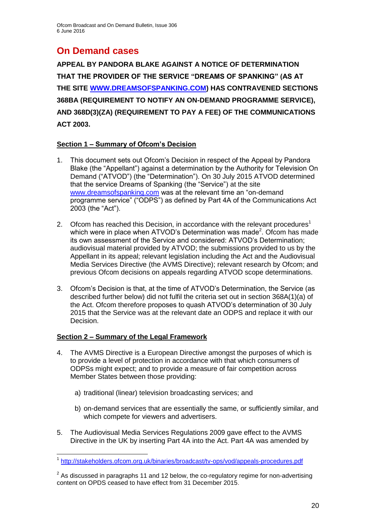# **On Demand cases**

**APPEAL BY PANDORA BLAKE AGAINST A NOTICE OF DETERMINATION THAT THE PROVIDER OF THE SERVICE "DREAMS OF SPANKING" (AS AT THE SITE WWW.DREAMSOFSPANKING.COM) HAS CONTRAVENED SECTIONS 368BA (REQUIREMENT TO NOTIFY AN ON-DEMAND PROGRAMME SERVICE), AND 368D(3)(ZA) (REQUIREMENT TO PAY A FEE) OF THE COMMUNICATIONS ACT 2003.**

### **Section 1 – Summary of Ofcom's Decision**

- 1. This document sets out Ofcom's Decision in respect of the Appeal by Pandora Blake (the "Appellant") against a determination by the Authority for Television On Demand ("ATVOD") (the "Determination"). On 30 July 2015 ATVOD determined that the service Dreams of Spanking (the "Service") at the site www.dreamsofspanking.com was at the relevant time an "on-demand programme service" ("ODPS") as defined by Part 4A of the Communications Act 2003 (the "Act").
- 2. Ofcom has reached this Decision, in accordance with the relevant procedures<sup>1</sup> which were in place when ATVOD's Determination was made<sup>2</sup>. Ofcom has made its own assessment of the Service and considered: ATVOD's Determination; audiovisual material provided by ATVOD; the submissions provided to us by the Appellant in its appeal; relevant legislation including the Act and the Audiovisual Media Services Directive (the AVMS Directive); relevant research by Ofcom; and previous Ofcom decisions on appeals regarding ATVOD scope determinations.
- 3. Ofcom's Decision is that, at the time of ATVOD's Determination, the Service (as described further below) did not fulfil the criteria set out in section 368A(1)(a) of the Act. Ofcom therefore proposes to quash ATVOD's determination of 30 July 2015 that the Service was at the relevant date an ODPS and replace it with our Decision.

### **Section 2 – Summary of the Legal Framework**

- 4. The AVMS Directive is a European Directive amongst the purposes of which is to provide a level of protection in accordance with that which consumers of ODPSs might expect; and to provide a measure of fair competition across Member States between those providing:
	- a) traditional (linear) television broadcasting services; and
	- b) on-demand services that are essentially the same, or sufficiently similar, and which compete for viewers and advertisers.
- 5. The Audiovisual Media Services Regulations 2009 gave effect to the AVMS Directive in the UK by inserting Part 4A into the Act. Part 4A was amended by

<sup>1</sup> 1 <http://stakeholders.ofcom.org.uk/binaries/broadcast/tv-ops/vod/appeals-procedures.pdf>

 $2$  As discussed in paragraphs 11 and 12 below, the co-regulatory regime for non-advertising content on OPDS ceased to have effect from 31 December 2015.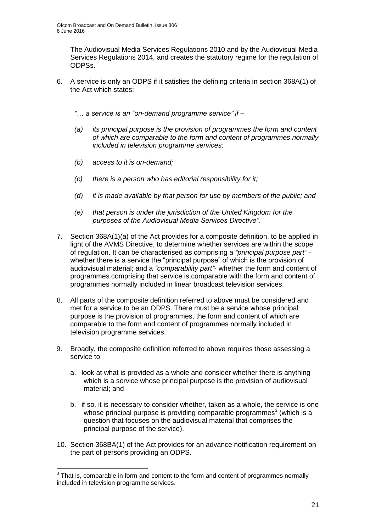The Audiovisual Media Services Regulations 2010 and by the Audiovisual Media Services Regulations 2014, and creates the statutory regime for the regulation of ODPSs.

6. A service is only an ODPS if it satisfies the defining criteria in section 368A(1) of the Act which states:

*"*… *a service is an "on-demand programme service" if –*

- *(a) its principal purpose is the provision of programmes the form and content of which are comparable to the form and content of programmes normally included in television programme services;*
- *(b) access to it is on-demand;*
- *(c) there is a person who has editorial responsibility for it;*
- *(d) it is made available by that person for use by members of the public; and*
- *(e) that person is under the jurisdiction of the United Kingdom for the purposes of the Audiovisual Media Services Directive".*
- 7. Section 368A(1)(a) of the Act provides for a composite definition, to be applied in light of the AVMS Directive, to determine whether services are within the scope of regulation. It can be characterised as comprising a *"principal purpose part"* whether there is a service the "principal purpose" of which is the provision of audiovisual material; and a *"comparability part"*- whether the form and content of programmes comprising that service is comparable with the form and content of programmes normally included in linear broadcast television services.
- 8. All parts of the composite definition referred to above must be considered and met for a service to be an ODPS. There must be a service whose principal purpose is the provision of programmes, the form and content of which are comparable to the form and content of programmes normally included in television programme services.
- 9. Broadly, the composite definition referred to above requires those assessing a service to:
	- a. look at what is provided as a whole and consider whether there is anything which is a service whose principal purpose is the provision of audiovisual material; and
	- b. if so, it is necessary to consider whether, taken as a whole, the service is one whose principal purpose is providing comparable programmes<sup>3</sup> (which is a question that focuses on the audiovisual material that comprises the principal purpose of the service).
- 10. Section 368BA(1) of the Act provides for an advance notification requirement on the part of persons providing an ODPS.

 3 That is, comparable in form and content to the form and content of programmes normally included in television programme services.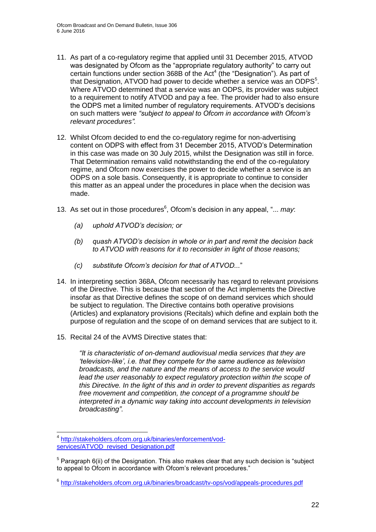- 11. As part of a co-regulatory regime that applied until 31 December 2015, ATVOD was designated by Ofcom as the "appropriate regulatory authority" to carry out certain functions under section 368B of the Act<sup>4</sup> (the "Designation"). As part of that Designation, ATVOD had power to decide whether a service was an ODPS $5$ . Where ATVOD determined that a service was an ODPS, its provider was subject to a requirement to notify ATVOD and pay a fee. The provider had to also ensure the ODPS met a limited number of regulatory requirements. ATVOD's decisions on such matters were *"subject to appeal to Ofcom in accordance with Ofcom's relevant procedures".*
- 12. Whilst Ofcom decided to end the co-regulatory regime for non-advertising content on ODPS with effect from 31 December 2015, ATVOD's Determination in this case was made on 30 July 2015, whilst the Designation was still in force. That Determination remains valid notwithstanding the end of the co-regulatory regime, and Ofcom now exercises the power to decide whether a service is an ODPS on a sole basis. Consequently, it is appropriate to continue to consider this matter as an appeal under the procedures in place when the decision was made.
- 13. As set out in those procedures<sup>6</sup>, Ofcom's decision in any appeal, "... may:
	- *(a) uphold ATVOD's decision; or*
	- *(b) quash ATVOD's decision in whole or in part and remit the decision back to ATVOD with reasons for it to reconsider in light of those reasons;*
	- *(c) substitute Ofcom's decision for that of ATVOD...*"
- 14. In interpreting section 368A, Ofcom necessarily has regard to relevant provisions of the Directive. This is because that section of the Act implements the Directive insofar as that Directive defines the scope of on demand services which should be subject to regulation. The Directive contains both operative provisions (Articles) and explanatory provisions (Recitals) which define and explain both the purpose of regulation and the scope of on demand services that are subject to it.
- 15. Recital 24 of the AVMS Directive states that:

*"It is characteristic of on-demand audiovisual media services that they are 'television-like', i.e. that they compete for the same audience as television broadcasts, and the nature and the means of access to the service would lead the user reasonably to expect regulatory protection within the scope of this Directive. In the light of this and in order to prevent disparities as regards free movement and competition, the concept of a programme should be interpreted in a dynamic way taking into account developments in television broadcasting"*.

<sup>1</sup> 4 [http://stakeholders.ofcom.org.uk/binaries/enforcement/vod](http://stakeholders.ofcom.org.uk/binaries/enforcement/vod-services/ATVOD_revised_Designation.pdf)[services/ATVOD\\_revised\\_Designation.pdf](http://stakeholders.ofcom.org.uk/binaries/enforcement/vod-services/ATVOD_revised_Designation.pdf)

 $5$  Paragraph 6(ii) of the Designation. This also makes clear that any such decision is "subject to appeal to Ofcom in accordance with Ofcom's relevant procedures."

<sup>6</sup> <http://stakeholders.ofcom.org.uk/binaries/broadcast/tv-ops/vod/appeals-procedures.pdf>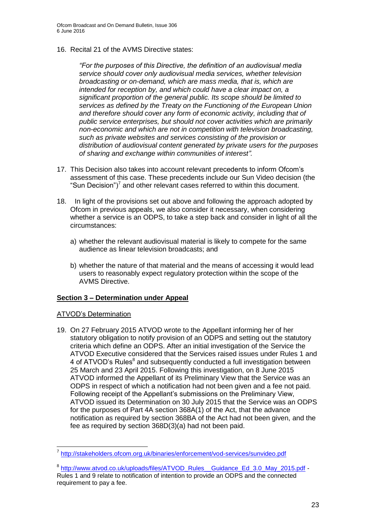16. Recital 21 of the AVMS Directive states:

*"For the purposes of this Directive, the definition of an audiovisual media service should cover only audiovisual media services, whether television broadcasting or on-demand, which are mass media, that is, which are intended for reception by, and which could have a clear impact on, a significant proportion of the general public. Its scope should be limited to services as defined by the Treaty on the Functioning of the European Union and therefore should cover any form of economic activity, including that of public service enterprises, but should not cover activities which are primarily non-economic and which are not in competition with television broadcasting, such as private websites and services consisting of the provision or distribution of audiovisual content generated by private users for the purposes of sharing and exchange within communities of interest".*

- 17. This Decision also takes into account relevant precedents to inform Ofcom's assessment of this case. These precedents include our Sun Video decision (the "Sun Decision")<sup>7</sup> and other relevant cases referred to within this document.
- 18. In light of the provisions set out above and following the approach adopted by Ofcom in previous appeals, we also consider it necessary, when considering whether a service is an ODPS, to take a step back and consider in light of all the circumstances:
	- a) whether the relevant audiovisual material is likely to compete for the same audience as linear television broadcasts; and
	- b) whether the nature of that material and the means of accessing it would lead users to reasonably expect regulatory protection within the scope of the AVMS Directive.

#### **Section 3 – Determination under Appeal**

#### ATVOD's Determination

1

19. On 27 February 2015 ATVOD wrote to the Appellant informing her of her statutory obligation to notify provision of an ODPS and setting out the statutory criteria which define an ODPS. After an initial investigation of the Service the ATVOD Executive considered that the Services raised issues under Rules 1 and 4 of ATVOD's Rules<sup>8</sup> and subsequently conducted a full investigation between 25 March and 23 April 2015. Following this investigation, on 8 June 2015 ATVOD informed the Appellant of its Preliminary View that the Service was an ODPS in respect of which a notification had not been given and a fee not paid. Following receipt of the Appellant's submissions on the Preliminary View, ATVOD issued its Determination on 30 July 2015 that the Service was an ODPS for the purposes of Part 4A section 368A(1) of the Act, that the advance notification as required by section 368BA of the Act had not been given, and the fee as required by section 368D(3)(a) had not been paid.

<sup>&</sup>lt;sup>7</sup> <http://stakeholders.ofcom.org.uk/binaries/enforcement/vod-services/sunvideo.pdf>

<sup>&</sup>lt;sup>8</sup> http://www.atvod.co.uk/uploads/files/ATVOD\_Rules Guidance\_Ed\_3.0\_May\_2015.pdf -Rules 1 and 9 relate to notification of intention to provide an ODPS and the connected requirement to pay a fee.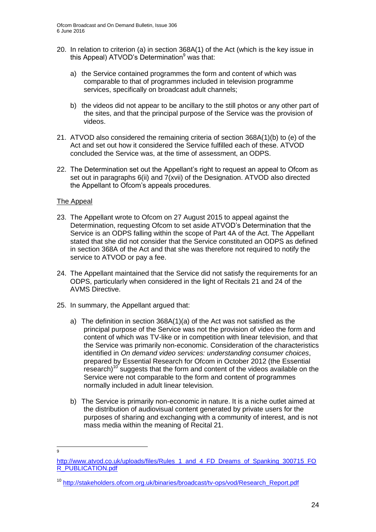- 20. In relation to criterion (a) in section 368A(1) of the Act (which is the key issue in this Appeal) ATVOD's Determination $9$  was that:
	- a) the Service contained programmes the form and content of which was comparable to that of programmes included in television programme services, specifically on broadcast adult channels;
	- b) the videos did not appear to be ancillary to the still photos or any other part of the sites, and that the principal purpose of the Service was the provision of videos.
- 21. ATVOD also considered the remaining criteria of section 368A(1)(b) to (e) of the Act and set out how it considered the Service fulfilled each of these. ATVOD concluded the Service was, at the time of assessment, an ODPS.
- 22. The Determination set out the Appellant's right to request an appeal to Ofcom as set out in paragraphs 6(ii) and 7(xvii) of the Designation. ATVOD also directed the Appellant to Ofcom's appeals procedures.

#### The Appeal

- 23. The Appellant wrote to Ofcom on 27 August 2015 to appeal against the Determination, requesting Ofcom to set aside ATVOD's Determination that the Service is an ODPS falling within the scope of Part 4A of the Act. The Appellant stated that she did not consider that the Service constituted an ODPS as defined in section 368A of the Act and that she was therefore not required to notify the service to ATVOD or pay a fee.
- 24. The Appellant maintained that the Service did not satisfy the requirements for an ODPS, particularly when considered in the light of Recitals 21 and 24 of the AVMS Directive.
- 25. In summary, the Appellant argued that:
	- a) The definition in section 368A(1)(a) of the Act was not satisfied as the principal purpose of the Service was not the provision of video the form and content of which was TV-like or in competition with linear television, and that the Service was primarily non-economic. Consideration of the characteristics identified in *On demand video services: understanding consumer choices*, prepared by Essential Research for Ofcom in October 2012 (the Essential research)<sup>10</sup> suggests that the form and content of the videos available on the Service were not comparable to the form and content of programmes normally included in adult linear television.
	- b) The Service is primarily non-economic in nature. It is a niche outlet aimed at the distribution of audiovisual content generated by private users for the purposes of sharing and exchanging with a community of interest, and is not mass media within the meaning of Recital 21.

<sup>–&</sup>lt;br>9

[http://www.atvod.co.uk/uploads/files/Rules\\_1\\_and\\_4\\_FD\\_Dreams\\_of\\_Spanking\\_300715\\_FO](http://www.atvod.co.uk/uploads/files/Rules_1_and_4_FD_Dreams_of_Spanking_300715_FOR_PUBLICATION.pdf) [R\\_PUBLICATION.pdf](http://www.atvod.co.uk/uploads/files/Rules_1_and_4_FD_Dreams_of_Spanking_300715_FOR_PUBLICATION.pdf)

<sup>&</sup>lt;sup>10</sup> [http://stakeholders.ofcom.org.uk/binaries/broadcast/tv-ops/vod/Research\\_Report.pdf](http://stakeholders.ofcom.org.uk/binaries/broadcast/tv-ops/vod/Research_Report.pdf)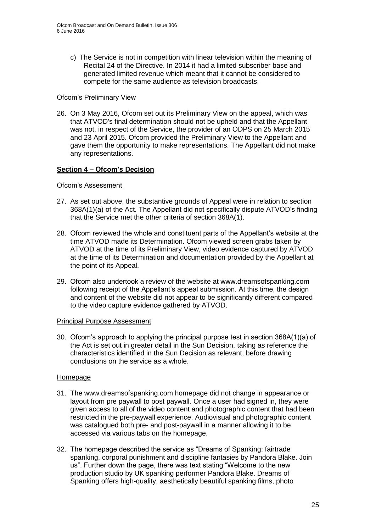c) The Service is not in competition with linear television within the meaning of Recital 24 of the Directive. In 2014 it had a limited subscriber base and generated limited revenue which meant that it cannot be considered to compete for the same audience as television broadcasts.

#### Ofcom's Preliminary View

26. On 3 May 2016, Ofcom set out its Preliminary View on the appeal, which was that ATVOD's final determination should not be upheld and that the Appellant was not, in respect of the Service, the provider of an ODPS on 25 March 2015 and 23 April 2015. Ofcom provided the Preliminary View to the Appellant and gave them the opportunity to make representations. The Appellant did not make any representations.

### **Section 4 – Ofcom's Decision**

#### Ofcom's Assessment

- 27. As set out above, the substantive grounds of Appeal were in relation to section 368A(1)(a) of the Act. The Appellant did not specifically dispute ATVOD's finding that the Service met the other criteria of section 368A(1).
- 28. Ofcom reviewed the whole and constituent parts of the Appellant's website at the time ATVOD made its Determination. Ofcom viewed screen grabs taken by ATVOD at the time of its Preliminary View, video evidence captured by ATVOD at the time of its Determination and documentation provided by the Appellant at the point of its Appeal.
- 29. Ofcom also undertook a review of the website at www.dreamsofspanking.com following receipt of the Appellant's appeal submission. At this time, the design and content of the website did not appear to be significantly different compared to the video capture evidence gathered by ATVOD.

#### Principal Purpose Assessment

30. Ofcom's approach to applying the principal purpose test in section 368A(1)(a) of the Act is set out in greater detail in the Sun Decision, taking as reference the characteristics identified in the Sun Decision as relevant, before drawing conclusions on the service as a whole.

#### Homepage

- 31. The www.dreamsofspanking.com homepage did not change in appearance or layout from pre paywall to post paywall. Once a user had signed in, they were given access to all of the video content and photographic content that had been restricted in the pre-paywall experience. Audiovisual and photographic content was catalogued both pre- and post-paywall in a manner allowing it to be accessed via various tabs on the homepage.
- 32. The homepage described the service as "Dreams of Spanking: fairtrade spanking, corporal punishment and discipline fantasies by Pandora Blake. Join us". Further down the page, there was text stating "Welcome to the new production studio by UK spanking performer [Pandora Blake.](http://ofcom.dreamsofspanking.com/user/pandora) Dreams of Spanking offers high-quality, aesthetically beautiful spanking films, photo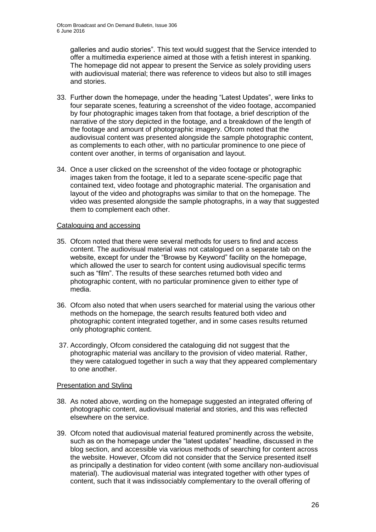galleries and audio stories". This text would suggest that the Service intended to offer a multimedia experience aimed at those with a fetish interest in spanking. The homepage did not appear to present the Service as solely providing users with audiovisual material; there was reference to videos but also to still images and stories.

- 33. Further down the homepage, under the heading "Latest Updates", were links to four separate scenes, featuring a screenshot of the video footage, accompanied by four photographic images taken from that footage, a brief description of the narrative of the story depicted in the footage, and a breakdown of the length of the footage and amount of photographic imagery. Ofcom noted that the audiovisual content was presented alongside the sample photographic content, as complements to each other, with no particular prominence to one piece of content over another, in terms of organisation and layout.
- 34. Once a user clicked on the screenshot of the video footage or photographic images taken from the footage, it led to a separate scene-specific page that contained text, video footage and photographic material. The organisation and layout of the video and photographs was similar to that on the homepage. The video was presented alongside the sample photographs, in a way that suggested them to complement each other.

#### Cataloguing and accessing

- 35. Ofcom noted that there were several methods for users to find and access content. The audiovisual material was not catalogued on a separate tab on the website, except for under the "Browse by Keyword" facility on the homepage, which allowed the user to search for content using audiovisual specific terms such as "film". The results of these searches returned both video and photographic content, with no particular prominence given to either type of media.
- 36. Ofcom also noted that when users searched for material using the various other methods on the homepage, the search results featured both video and photographic content integrated together, and in some cases results returned only photographic content.
- 37. Accordingly, Ofcom considered the cataloguing did not suggest that the photographic material was ancillary to the provision of video material. Rather, they were catalogued together in such a way that they appeared complementary to one another.

### Presentation and Styling

- 38. As noted above, wording on the homepage suggested an integrated offering of photographic content, audiovisual material and stories, and this was reflected elsewhere on the service.
- 39. Ofcom noted that audiovisual material featured prominently across the website, such as on the homepage under the "latest updates" headline, discussed in the blog section, and accessible via various methods of searching for content across the website. However, Ofcom did not consider that the Service presented itself as principally a destination for video content (with some ancillary non-audiovisual material). The audiovisual material was integrated together with other types of content, such that it was indissociably complementary to the overall offering of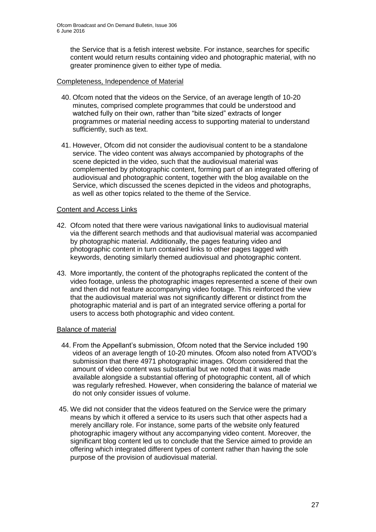the Service that is a fetish interest website. For instance, searches for specific content would return results containing video and photographic material, with no greater prominence given to either type of media.

#### Completeness, Independence of Material

- 40. Ofcom noted that the videos on the Service, of an average length of 10-20 minutes, comprised complete programmes that could be understood and watched fully on their own, rather than "bite sized" extracts of longer programmes or material needing access to supporting material to understand sufficiently, such as text.
- 41. However, Ofcom did not consider the audiovisual content to be a standalone service. The video content was always accompanied by photographs of the scene depicted in the video, such that the audiovisual material was complemented by photographic content, forming part of an integrated offering of audiovisual and photographic content, together with the blog available on the Service, which discussed the scenes depicted in the videos and photographs, as well as other topics related to the theme of the Service.

#### Content and Access Links

- 42. Ofcom noted that there were various navigational links to audiovisual material via the different search methods and that audiovisual material was accompanied by photographic material. Additionally, the pages featuring video and photographic content in turn contained links to other pages tagged with keywords, denoting similarly themed audiovisual and photographic content.
- 43. More importantly, the content of the photographs replicated the content of the video footage, unless the photographic images represented a scene of their own and then did not feature accompanying video footage. This reinforced the view that the audiovisual material was not significantly different or distinct from the photographic material and is part of an integrated service offering a portal for users to access both photographic and video content.

### Balance of material

- 44. From the Appellant's submission, Ofcom noted that the Service included 190 videos of an average length of 10-20 minutes. Ofcom also noted from ATVOD's submission that there 4971 photographic images. Ofcom considered that the amount of video content was substantial but we noted that it was made available alongside a substantial offering of photographic content, all of which was regularly refreshed. However, when considering the balance of material we do not only consider issues of volume.
- 45. We did not consider that the videos featured on the Service were the primary means by which it offered a service to its users such that other aspects had a merely ancillary role. For instance, some parts of the website only featured photographic imagery without any accompanying video content. Moreover, the significant blog content led us to conclude that the Service aimed to provide an offering which integrated different types of content rather than having the sole purpose of the provision of audiovisual material.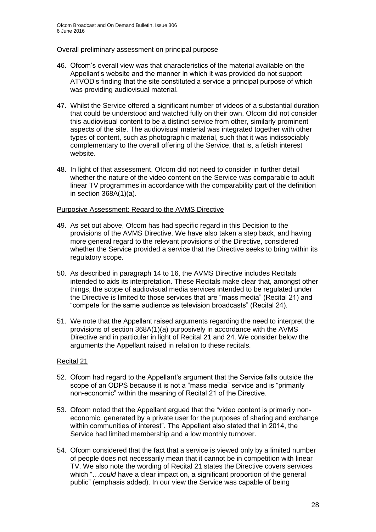#### Overall preliminary assessment on principal purpose

- 46. Ofcom's overall view was that characteristics of the material available on the Appellant's website and the manner in which it was provided do not support ATVOD's finding that the site constituted a service a principal purpose of which was providing audiovisual material.
- 47. Whilst the Service offered a significant number of videos of a substantial duration that could be understood and watched fully on their own, Ofcom did not consider this audiovisual content to be a distinct service from other, similarly prominent aspects of the site. The audiovisual material was integrated together with other types of content, such as photographic material, such that it was indissociably complementary to the overall offering of the Service, that is, a fetish interest website.
- 48. In light of that assessment, Ofcom did not need to consider in further detail whether the nature of the video content on the Service was comparable to adult linear TV programmes in accordance with the comparability part of the definition in section 368A(1)(a).

#### Purposive Assessment: Regard to the AVMS Directive

- 49. As set out above, Ofcom has had specific regard in this Decision to the provisions of the AVMS Directive. We have also taken a step back, and having more general regard to the relevant provisions of the Directive, considered whether the Service provided a service that the Directive seeks to bring within its regulatory scope.
- 50. As described in paragraph 14 to 16, the AVMS Directive includes Recitals intended to aids its interpretation. These Recitals make clear that, amongst other things, the scope of audiovisual media services intended to be regulated under the Directive is limited to those services that are "mass media" (Recital 21) and "compete for the same audience as television broadcasts" (Recital 24).
- 51. We note that the Appellant raised arguments regarding the need to interpret the provisions of section 368A(1)(a) purposively in accordance with the AVMS Directive and in particular in light of Recital 21 and 24. We consider below the arguments the Appellant raised in relation to these recitals.

#### Recital 21

- 52. Ofcom had regard to the Appellant's argument that the Service falls outside the scope of an ODPS because it is not a "mass media" service and is "primarily non-economic" within the meaning of Recital 21 of the Directive.
- 53. Ofcom noted that the Appellant argued that the "video content is primarily noneconomic, generated by a private user for the purposes of sharing and exchange within communities of interest". The Appellant also stated that in 2014, the Service had limited membership and a low monthly turnover.
- 54. Ofcom considered that the fact that a service is viewed only by a limited number of people does not necessarily mean that it cannot be in competition with linear TV. We also note the wording of Recital 21 states the Directive covers services which "... could have a clear impact on, a significant proportion of the general public" (emphasis added). In our view the Service was capable of being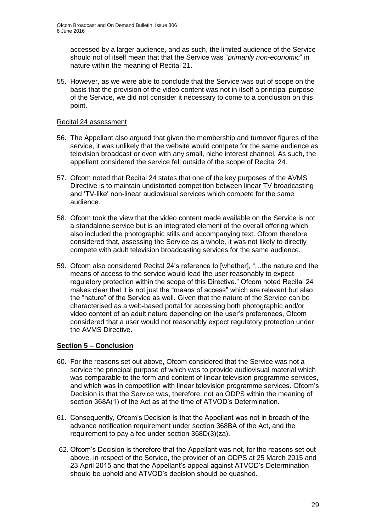accessed by a larger audience, and as such, the limited audience of the Service should not of itself mean that that the Service was "*primarily non-economic*" in nature within the meaning of Recital 21.

55. However, as we were able to conclude that the Service was out of scope on the basis that the provision of the video content was not in itself a principal purpose of the Service, we did not consider it necessary to come to a conclusion on this point.

#### Recital 24 assessment

- 56. The Appellant also argued that given the membership and turnover figures of the service, it was unlikely that the website would compete for the same audience as television broadcast or even with any small, niche interest channel. As such, the appellant considered the service fell outside of the scope of Recital 24.
- 57. Ofcom noted that Recital 24 states that one of the key purposes of the AVMS Directive is to maintain undistorted competition between linear TV broadcasting and 'TV-like' non-linear audiovisual services which compete for the same audience.
- 58. Ofcom took the view that the video content made available on the Service is not a standalone service but is an integrated element of the overall offering which also included the photographic stills and accompanying text. Ofcom therefore considered that, assessing the Service as a whole, it was not likely to directly compete with adult television broadcasting services for the same audience.
- 59. Ofcom also considered Recital 24's reference to [whether], "…the nature and the means of access to the service would lead the user reasonably to expect regulatory protection within the scope of this Directive." Ofcom noted Recital 24 makes clear that it is not just the "means of access" which are relevant but also the "nature" of the Service as well. Given that the nature of the Service can be characterised as a web-based portal for accessing both photographic and/or video content of an adult nature depending on the user's preferences, Ofcom considered that a user would not reasonably expect regulatory protection under the AVMS Directive.

### **Section 5 – Conclusion**

- 60. For the reasons set out above, Ofcom considered that the Service was not a service the principal purpose of which was to provide audiovisual material which was comparable to the form and content of linear television programme services, and which was in competition with linear television programme services. Ofcom's Decision is that the Service was, therefore, not an ODPS within the meaning of section 368A(1) of the Act as at the time of ATVOD's Determination.
- 61. Consequently, Ofcom's Decision is that the Appellant was not in breach of the advance notification requirement under section 368BA of the Act, and the requirement to pay a fee under section 368D(3)(za).
- 62. Ofcom's Decision is therefore that the Appellant was not, for the reasons set out above, in respect of the Service, the provider of an ODPS at 25 March 2015 and 23 April 2015 and that the Appellant's appeal against ATVOD's Determination should be upheld and ATVOD's decision should be quashed.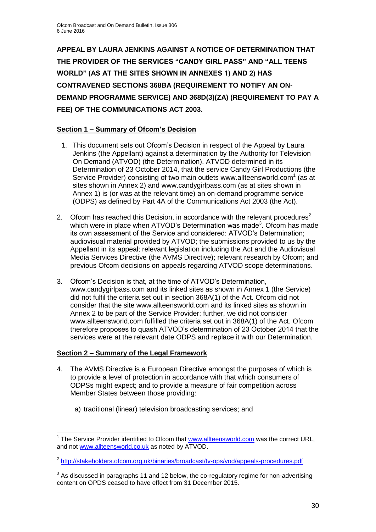**APPEAL BY LAURA JENKINS AGAINST A NOTICE OF DETERMINATION THAT THE PROVIDER OF THE SERVICES "CANDY GIRL PASS" AND "ALL TEENS WORLD" (AS AT THE SITES SHOWN IN ANNEXES 1) AND 2) HAS CONTRAVENED SECTIONS 368BA (REQUIREMENT TO NOTIFY AN ON-DEMAND PROGRAMME SERVICE) AND 368D(3)(ZA) (REQUIREMENT TO PAY A FEE) OF THE COMMUNICATIONS ACT 2003.**

### **Section 1 – Summary of Ofcom's Decision**

- 1. This document sets out Ofcom's Decision in respect of the Appeal by Laura Jenkins (the Appellant) against a determination by the Authority for Television On Demand (ATVOD) (the Determination). ATVOD determined in its Determination of 23 October 2014, that the service Candy Girl Productions (the Service Provider) consisting of two main outlets www.allteensworld.com $1$  (as at sites shown in Annex 2) and www.candygirlpass.com (as at sites shown in Annex 1) is (or was at the relevant time) an on-demand programme service (ODPS) as defined by Part 4A of the Communications Act 2003 (the Act).
- 2. Ofcom has reached this Decision, in accordance with the relevant procedures<sup>2</sup> which were in place when ATVOD's Determination was made<sup>3</sup>. Ofcom has made its own assessment of the Service and considered: ATVOD's Determination; audiovisual material provided by ATVOD; the submissions provided to us by the Appellant in its appeal; relevant legislation including the Act and the Audiovisual Media Services Directive (the AVMS Directive); relevant research by Ofcom; and previous Ofcom decisions on appeals regarding ATVOD scope determinations.
- 3. Ofcom's Decision is that, at the time of ATVOD's Determination, www.candygirlpass.com and its linked sites as shown in Annex 1 (the Service) did not fulfil the criteria set out in section 368A(1) of the Act. Ofcom did not consider that the site www.allteensworld.com and its linked sites as shown in Annex 2 to be part of the Service Provider; further, we did not consider www.allteensworld.com fulfilled the criteria set out in 368A(1) of the Act. Ofcom therefore proposes to quash ATVOD's determination of 23 October 2014 that the services were at the relevant date ODPS and replace it with our Determination.

## **Section 2 – Summary of the Legal Framework**

- 4. The AVMS Directive is a European Directive amongst the purposes of which is to provide a level of protection in accordance with that which consumers of ODPSs might expect; and to provide a measure of fair competition across Member States between those providing:
	- a) traditional (linear) television broadcasting services; and

<sup>1</sup> <sup>1</sup> The Service Provider identified to Ofcom that [www.allteensworld.com](http://www.allteensworld.com/) was the correct URL, and not [www.allteensworld.co.uk](http://www.allteensworld.co.uk/) as noted by ATVOD.

<sup>&</sup>lt;sup>2</sup> <http://stakeholders.ofcom.org.uk/binaries/broadcast/tv-ops/vod/appeals-procedures.pdf>

 $3$  As discussed in paragraphs 11 and 12 below, the co-regulatory regime for non-advertising content on OPDS ceased to have effect from 31 December 2015.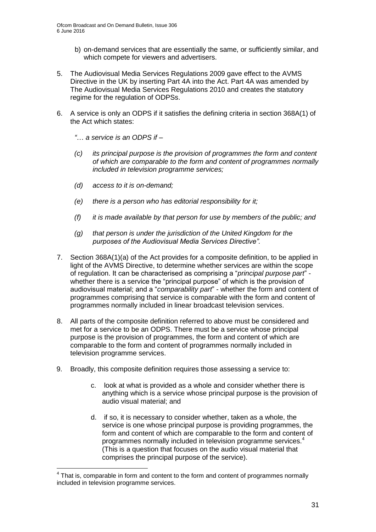- b) on-demand services that are essentially the same, or sufficiently similar, and which compete for viewers and advertisers.
- 5. The Audiovisual Media Services Regulations 2009 gave effect to the AVMS Directive in the UK by inserting Part 4A into the Act. Part 4A was amended by The Audiovisual Media Services Regulations 2010 and creates the statutory regime for the regulation of ODPSs.
- 6. A service is only an ODPS if it satisfies the defining criteria in section 368A(1) of the Act which states:
	- *"*… *a service is an ODPS if –*
	- *(c) its principal purpose is the provision of programmes the form and content of which are comparable to the form and content of programmes normally included in television programme services;*
	- *(d) access to it is on-demand;*

1

- *(e) there is a person who has editorial responsibility for it;*
- *(f) it is made available by that person for use by members of the public; and*
- *(g) that person is under the jurisdiction of the United Kingdom for the purposes of the Audiovisual Media Services Directive".*
- 7. Section 368A(1)(a) of the Act provides for a composite definition, to be applied in light of the AVMS Directive, to determine whether services are within the scope of regulation. It can be characterised as comprising a "*principal purpose part*" whether there is a service the "principal purpose" of which is the provision of audiovisual material; and a "*comparability part*" - whether the form and content of programmes comprising that service is comparable with the form and content of programmes normally included in linear broadcast television services.
- 8. All parts of the composite definition referred to above must be considered and met for a service to be an ODPS. There must be a service whose principal purpose is the provision of programmes, the form and content of which are comparable to the form and content of programmes normally included in television programme services.
- 9. Broadly, this composite definition requires those assessing a service to:
	- c. look at what is provided as a whole and consider whether there is anything which is a service whose principal purpose is the provision of audio visual material; and
	- d. if so, it is necessary to consider whether, taken as a whole, the service is one whose principal purpose is providing programmes, the form and content of which are comparable to the form and content of programmes normally included in television programme services.<sup>4</sup> (This is a question that focuses on the audio visual material that comprises the principal purpose of the service).

 $4$  That is, comparable in form and content to the form and content of programmes normally included in television programme services.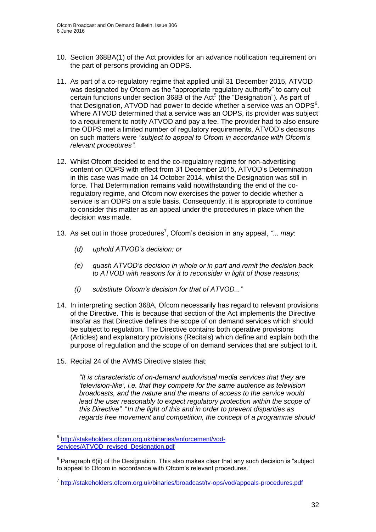- 10. Section 368BA(1) of the Act provides for an advance notification requirement on the part of persons providing an ODPS.
- 11. As part of a co-regulatory regime that applied until 31 December 2015, ATVOD was designated by Ofcom as the "appropriate regulatory authority" to carry out certain functions under section 368B of the Act<sup>5</sup> (the "Designation"). As part of that Designation, ATVOD had power to decide whether a service was an ODPS $<sup>6</sup>$ .</sup> Where ATVOD determined that a service was an ODPS, its provider was subject to a requirement to notify ATVOD and pay a fee. The provider had to also ensure the ODPS met a limited number of regulatory requirements. ATVOD's decisions on such matters were *"subject to appeal to Ofcom in accordance with Ofcom's relevant procedures"*.
- 12. Whilst Ofcom decided to end the co-regulatory regime for non-advertising content on ODPS with effect from 31 December 2015, ATVOD's Determination in this case was made on 14 October 2014, whilst the Designation was still in force. That Determination remains valid notwithstanding the end of the coregulatory regime, and Ofcom now exercises the power to decide whether a service is an ODPS on a sole basis. Consequently, it is appropriate to continue to consider this matter as an appeal under the procedures in place when the decision was made.
- 13. As set out in those procedures<sup>7</sup>, Ofcom's decision in any appeal, "... may:
	- *(d) uphold ATVOD's decision; or*
	- *(e) quash ATVOD's decision in whole or in part and remit the decision back to ATVOD with reasons for it to reconsider in light of those reasons;*
	- *(f) substitute Ofcom's decision for that of ATVOD..."*
- 14. In interpreting section 368A, Ofcom necessarily has regard to relevant provisions of the Directive. This is because that section of the Act implements the Directive insofar as that Directive defines the scope of on demand services which should be subject to regulation. The Directive contains both operative provisions (Articles) and explanatory provisions (Recitals) which define and explain both the purpose of regulation and the scope of on demand services that are subject to it.
- 15. Recital 24 of the AVMS Directive states that:

*"It is characteristic of on-demand audiovisual media services that they are 'television-like', i.e. that they compete for the same audience as television broadcasts, and the nature and the means of access to the service would lead the user reasonably to expect regulatory protection within the scope of this Directive".* "*In the light of this and in order to prevent disparities as regards free movement and competition, the concept of a programme should* 

<sup>1</sup> 5 [http://stakeholders.ofcom.org.uk/binaries/enforcement/vod](http://stakeholders.ofcom.org.uk/binaries/enforcement/vod-services/ATVOD_revised_Designation.pdf)[services/ATVOD\\_revised\\_Designation.pdf](http://stakeholders.ofcom.org.uk/binaries/enforcement/vod-services/ATVOD_revised_Designation.pdf)

 $6$  Paragraph 6(ii) of the Designation. This also makes clear that any such decision is "subject to appeal to Ofcom in accordance with Ofcom's relevant procedures."

<sup>&</sup>lt;sup>7</sup> <http://stakeholders.ofcom.org.uk/binaries/broadcast/tv-ops/vod/appeals-procedures.pdf>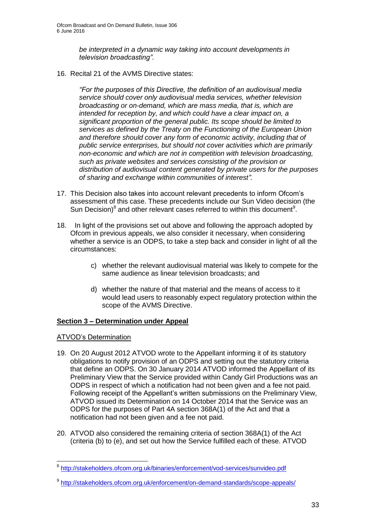*be interpreted in a dynamic way taking into account developments in television broadcasting"*.

16. Recital 21 of the AVMS Directive states:

*"For the purposes of this Directive, the definition of an audiovisual media service should cover only audiovisual media services, whether television broadcasting or on-demand, which are mass media, that is, which are intended for reception by, and which could have a clear impact on, a significant proportion of the general public. Its scope should be limited to services as defined by the Treaty on the Functioning of the European Union and therefore should cover any form of economic activity, including that of public service enterprises, but should not cover activities which are primarily non-economic and which are not in competition with television broadcasting, such as private websites and services consisting of the provision or distribution of audiovisual content generated by private users for the purposes of sharing and exchange within communities of interest".*

- 17. This Decision also takes into account relevant precedents to inform Ofcom's assessment of this case. These precedents include our Sun Video decision (the Sun Decision) $^8$  and other relevant cases referred to within this document $^9$ .
- 18. In light of the provisions set out above and following the approach adopted by Ofcom in previous appeals, we also consider it necessary, when considering whether a service is an ODPS, to take a step back and consider in light of all the circumstances:
	- c) whether the relevant audiovisual material was likely to compete for the same audience as linear television broadcasts; and
	- d) whether the nature of that material and the means of access to it would lead users to reasonably expect regulatory protection within the scope of the AVMS Directive.

### **Section 3 – Determination under Appeal**

### ATVOD's Determination

- 19. On 20 August 2012 ATVOD wrote to the Appellant informing it of its statutory obligations to notify provision of an ODPS and setting out the statutory criteria that define an ODPS. On 30 January 2014 ATVOD informed the Appellant of its Preliminary View that the Service provided within Candy Girl Productions was an ODPS in respect of which a notification had not been given and a fee not paid. Following receipt of the Appellant's written submissions on the Preliminary View, ATVOD issued its Determination on 14 October 2014 that the Service was an ODPS for the purposes of Part 4A section 368A(1) of the Act and that a notification had not been given and a fee not paid.
- 20. ATVOD also considered the remaining criteria of section 368A(1) of the Act (criteria (b) to (e), and set out how the Service fulfilled each of these. ATVOD

 8 <http://stakeholders.ofcom.org.uk/binaries/enforcement/vod-services/sunvideo.pdf>

<sup>&</sup>lt;sup>9</sup> <http://stakeholders.ofcom.org.uk/enforcement/on-demand-standards/scope-appeals/>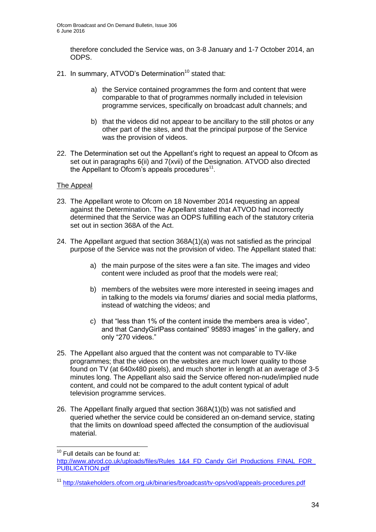therefore concluded the Service was, on 3-8 January and 1-7 October 2014, an ODPS.

- 21. In summary, ATVOD's Determination<sup>10</sup> stated that:
	- a) the Service contained programmes the form and content that were comparable to that of programmes normally included in television programme services, specifically on broadcast adult channels; and
	- b) that the videos did not appear to be ancillary to the still photos or any other part of the sites, and that the principal purpose of the Service was the provision of videos.
- 22. The Determination set out the Appellant's right to request an appeal to Ofcom as set out in paragraphs 6(ii) and 7(xvii) of the Designation. ATVOD also directed the Appellant to Ofcom's appeals procedures<sup>11</sup>.

#### The Appeal

- 23. The Appellant wrote to Ofcom on 18 November 2014 requesting an appeal against the Determination. The Appellant stated that ATVOD had incorrectly determined that the Service was an ODPS fulfilling each of the statutory criteria set out in section 368A of the Act.
- 24. The Appellant argued that section 368A(1)(a) was not satisfied as the principal purpose of the Service was not the provision of video. The Appellant stated that:
	- a) the main purpose of the sites were a fan site. The images and video content were included as proof that the models were real;
	- b) members of the websites were more interested in seeing images and in talking to the models via forums/ diaries and social media platforms, instead of watching the videos; and
	- c) that "less than 1% of the content inside the members area is video", and that CandyGirlPass contained" 95893 images" in the gallery, and only "270 videos."
- 25. The Appellant also argued that the content was not comparable to TV-like programmes; that the videos on the websites are much lower quality to those found on TV (at 640x480 pixels), and much shorter in length at an average of 3-5 minutes long. The Appellant also said the Service offered non-nude/implied nude content, and could not be compared to the adult content typical of adult television programme services.
- 26. The Appellant finally argued that section 368A(1)(b) was not satisfied and queried whether the service could be considered an on-demand service, stating that the limits on download speed affected the consumption of the audiovisual material.

1

 $10$  Full details can be found at:

[http://www.atvod.co.uk/uploads/files/Rules\\_1&4\\_FD\\_Candy\\_Girl\\_Productions\\_FINAL\\_FOR\\_](http://www.atvod.co.uk/uploads/files/Rules_1&4_FD_Candy_Girl_Productions_FINAL_FOR_PUBLICATION.pdf) [PUBLICATION.pdf](http://www.atvod.co.uk/uploads/files/Rules_1&4_FD_Candy_Girl_Productions_FINAL_FOR_PUBLICATION.pdf)

<sup>11</sup> <http://stakeholders.ofcom.org.uk/binaries/broadcast/tv-ops/vod/appeals-procedures.pdf>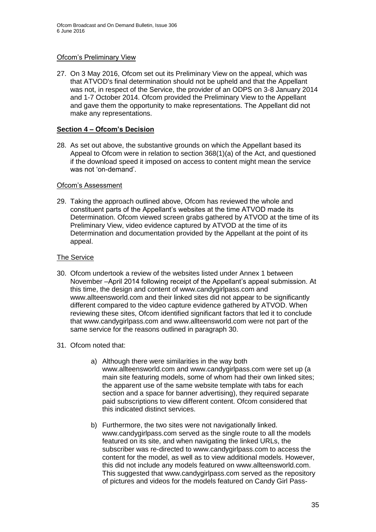#### Ofcom's Preliminary View

27. On 3 May 2016, Ofcom set out its Preliminary View on the appeal, which was that ATVOD's final determination should not be upheld and that the Appellant was not, in respect of the Service, the provider of an ODPS on 3-8 January 2014 and 1-7 October 2014. Ofcom provided the Preliminary View to the Appellant and gave them the opportunity to make representations. The Appellant did not make any representations.

#### **Section 4 – Ofcom's Decision**

28. As set out above, the substantive grounds on which the Appellant based its Appeal to Ofcom were in relation to section 368(1)(a) of the Act, and questioned if the download speed it imposed on access to content might mean the service was not 'on-demand'.

#### Ofcom's Assessment

29. Taking the approach outlined above, Ofcom has reviewed the whole and constituent parts of the Appellant's websites at the time ATVOD made its Determination. Ofcom viewed screen grabs gathered by ATVOD at the time of its Preliminary View, video evidence captured by ATVOD at the time of its Determination and documentation provided by the Appellant at the point of its appeal.

#### The Service

- 30. Ofcom undertook a review of the websites listed under Annex 1 between November –April 2014 following receipt of the Appellant's appeal submission. At this time, the design and content of www.candygirlpass.com and www.allteensworld.com and their linked sites did not appear to be significantly different compared to the video capture evidence gathered by ATVOD. When reviewing these sites, Ofcom identified significant factors that led it to conclude that www.candygirlpass.com and www.allteensworld.com were not part of the same service for the reasons outlined in paragraph 30.
- 31. Ofcom noted that:
	- a) Although there were similarities in the way both [www.allteensworld.com a](http://www.allteensworld.co.uk/)nd [www.candygirlpass.com](http://www.candygirlpass.com/) were set up (a main site featuring models, some of whom had their own linked sites; the apparent use of the same website template with tabs for each section and a space for banner advertising), they required separate paid subscriptions to view different content. Ofcom considered that this indicated distinct services.
	- b) Furthermore, the two sites were not navigationally linked. www.candygirlpass.com served as the single route to all the models featured on its site, and when navigating the linked URLs, the subscriber was re-directed to www.candygirlpass.com to access the content for the model, as well as to view additional models. However, this did not include any models featured on www.allteensworld.com. This suggested that www.candygirlpass.com served as the repository of pictures and videos for the models featured on Candy Girl Pass-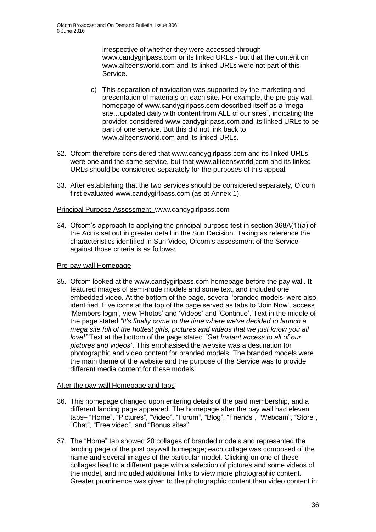irrespective of whether they were accessed through www.candygirlpass.com or its linked URLs - but that the content on www.allteensworld.com and its linked URLs were not part of this Service.

- c) This separation of navigation was supported by the marketing and presentation of materials on each site. For example, the pre pay wall homepage of www.candygirlpass.com described itself as a 'mega site…updated daily with content from ALL of our sites", indicating the provider considered www.candygirlpass.com and its linked URLs to be part of one service. But this did not link back to www.allteensworld.com and its linked URLs.
- 32. Ofcom therefore considered that www.candygirlpass.com and its linked URLs were one and the same service, but that www.allteensworld.com and its linked URLs should be considered separately for the purposes of this appeal.
- 33. After establishing that the two services should be considered separately, Ofcom first evaluated www.candygirlpass.com (as at Annex 1).

#### Principal Purpose Assessment: www.candygirlpass.com

34. Ofcom's approach to applying the principal purpose test in section 368A(1)(a) of the Act is set out in greater detail in the Sun Decision. Taking as reference the characteristics identified in Sun Video, Ofcom's assessment of the Service against those criteria is as follows:

#### Pre-pay wall Homepage

35. Ofcom looked at the www.candygirlpass.com homepage before the pay wall. It featured images of semi-nude models and some text, and included one embedded video. At the bottom of the page, several 'branded models' were also identified. Five icons at the top of the page served as tabs to 'Join Now', access 'Members login', view 'Photos' and 'Videos' and 'Continue'. Text in the middle of the page stated *"It's finally come to the time where we've decided to launch a mega site full of the hottest girls, pictures and videos that we just know you all love!"* Text at the bottom of the page stated *"Get Instant access to all of our pictures and videos".* This emphasised the website was a destination for photographic and video content for branded models. The branded models were the main theme of the website and the purpose of the Service was to provide different media content for these models.

#### After the pay wall Homepage and tabs

- 36. This homepage changed upon entering details of the paid membership, and a different landing page appeared. The homepage after the pay wall had eleven tabs– "Home", "Pictures", "Video", "Forum", "Blog", "Friends", "Webcam", "Store", "Chat", "Free video", and "Bonus sites".
- 37. The "Home" tab showed 20 collages of branded models and represented the landing page of the post paywall homepage; each collage was composed of the name and several images of the particular model. Clicking on one of these collages lead to a different page with a selection of pictures and some videos of the model, and included additional links to view more photographic content. Greater prominence was given to the photographic content than video content in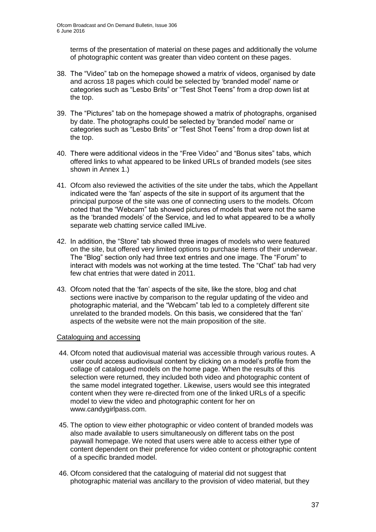terms of the presentation of material on these pages and additionally the volume of photographic content was greater than video content on these pages.

- 38. The "Video" tab on the homepage showed a matrix of videos, organised by date and across 18 pages which could be selected by 'branded model' name or categories such as "Lesbo Brits" or "Test Shot Teens" from a drop down list at the top.
- 39. The "Pictures" tab on the homepage showed a matrix of photographs, organised by date. The photographs could be selected by 'branded model' name or categories such as "Lesbo Brits" or "Test Shot Teens" from a drop down list at the top.
- 40. There were additional videos in the "Free Video" and "Bonus sites" tabs, which offered links to what appeared to be linked URLs of branded models (see sites shown in Annex 1.)
- 41. Ofcom also reviewed the activities of the site under the tabs, which the Appellant indicated were the 'fan' aspects of the site in support of its argument that the principal purpose of the site was one of connecting users to the models. Ofcom noted that the "Webcam" tab showed pictures of models that were not the same as the 'branded models' of the Service, and led to what appeared to be a wholly separate web chatting service called IMLive.
- 42. In addition, the "Store" tab showed three images of models who were featured on the site, but offered very limited options to purchase items of their underwear. The "Blog" section only had three text entries and one image. The "Forum" to interact with models was not working at the time tested. The "Chat" tab had very few chat entries that were dated in 2011.
- 43. Ofcom noted that the 'fan' aspects of the site, like the store, blog and chat sections were inactive by comparison to the regular updating of the video and photographic material, and the "Webcam" tab led to a completely different site unrelated to the branded models. On this basis, we considered that the 'fan' aspects of the website were not the main proposition of the site.

#### Cataloguing and accessing

- 44. Ofcom noted that audiovisual material was accessible through various routes. A user could access audiovisual content by clicking on a model's profile from the collage of catalogued models on the home page. When the results of this selection were returned, they included both video and photographic content of the same model integrated together. Likewise, users would see this integrated content when they were re-directed from one of the linked URLs of a specific model to view the video and photographic content for her on www.candygirlpass.com.
- 45. The option to view either photographic or video content of branded models was also made available to users simultaneously on different tabs on the post paywall homepage. We noted that users were able to access either type of content dependent on their preference for video content or photographic content of a specific branded model.
- 46. Ofcom considered that the cataloguing of material did not suggest that photographic material was ancillary to the provision of video material, but they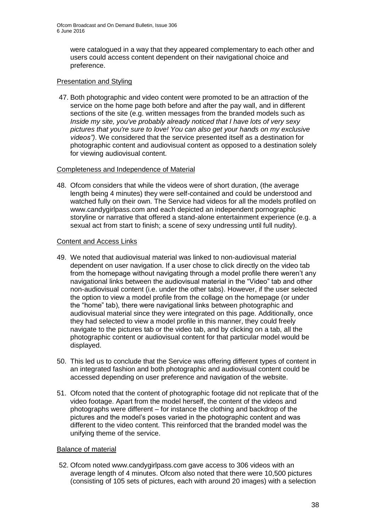were catalogued in a way that they appeared complementary to each other and users could access content dependent on their navigational choice and preference.

#### Presentation and Styling

47. Both photographic and video content were promoted to be an attraction of the service on the home page both before and after the pay wall, and in different sections of the site (e.g. written messages from the branded models such as *Inside my site, you've probably already noticed that I have lots of very sexy pictures that you're sure to love! You can also get your hands on my exclusive videos")*. We considered that the service presented itself as a destination for photographic content and audiovisual content as opposed to a destination solely for viewing audiovisual content.

#### Completeness and Independence of Material

48. Ofcom considers that while the videos were of short duration, (the average length being 4 minutes) they were self-contained and could be understood and watched fully on their own. The Service had videos for all the models profiled on www.candygirlpass.com and each depicted an independent pornographic storyline or narrative that offered a stand-alone entertainment experience (e.g. a sexual act from start to finish; a scene of sexy undressing until full nudity).

#### Content and Access Links

- 49. We noted that audiovisual material was linked to non-audiovisual material dependent on user navigation. If a user chose to click directly on the video tab from the homepage without navigating through a model profile there weren't any navigational links between the audiovisual material in the "Video" tab and other non-audiovisual content (i.e. under the other tabs). However, if the user selected the option to view a model profile from the collage on the homepage (or under the "home" tab), there were navigational links between photographic and audiovisual material since they were integrated on this page. Additionally, once they had selected to view a model profile in this manner, they could freely navigate to the pictures tab or the video tab, and by clicking on a tab, all the photographic content or audiovisual content for that particular model would be displayed.
- 50. This led us to conclude that the Service was offering different types of content in an integrated fashion and both photographic and audiovisual content could be accessed depending on user preference and navigation of the website.
- 51. Ofcom noted that the content of photographic footage did not replicate that of the video footage. Apart from the model herself, the content of the videos and photographs were different – for instance the clothing and backdrop of the pictures and the model's poses varied in the photographic content and was different to the video content. This reinforced that the branded model was the unifying theme of the service.

#### Balance of material

52. Ofcom noted www.candygirlpass.com gave access to 306 videos with an average length of 4 minutes. Ofcom also noted that there were 10,500 pictures (consisting of 105 sets of pictures, each with around 20 images) with a selection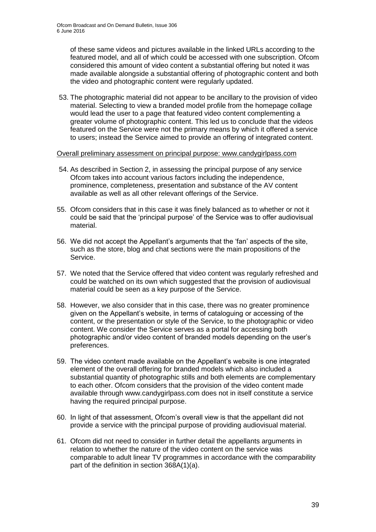of these same videos and pictures available in the linked URLs according to the featured model, and all of which could be accessed with one subscription. Ofcom considered this amount of video content a substantial offering but noted it was made available alongside a substantial offering of photographic content and both the video and photographic content were regularly updated.

53. The photographic material did not appear to be ancillary to the provision of video material. Selecting to view a branded model profile from the homepage collage would lead the user to a page that featured video content complementing a greater volume of photographic content. This led us to conclude that the videos featured on the Service were not the primary means by which it offered a service to users; instead the Service aimed to provide an offering of integrated content.

#### Overall preliminary assessment on principal purpose: www.candygirlpass.com

- 54. As described in Section 2, in assessing the principal purpose of any service Ofcom takes into account various factors including the independence, prominence, completeness, presentation and substance of the AV content available as well as all other relevant offerings of the Service.
- 55. Ofcom considers that in this case it was finely balanced as to whether or not it could be said that the 'principal purpose' of the Service was to offer audiovisual material.
- 56. We did not accept the Appellant's arguments that the 'fan' aspects of the site, such as the store, blog and chat sections were the main propositions of the Service.
- 57. We noted that the Service offered that video content was regularly refreshed and could be watched on its own which suggested that the provision of audiovisual material could be seen as a key purpose of the Service.
- 58. However, we also consider that in this case, there was no greater prominence given on the Appellant's website, in terms of cataloguing or accessing of the content, or the presentation or style of the Service, to the photographic or video content. We consider the Service serves as a portal for accessing both photographic and/or video content of branded models depending on the user's preferences.
- 59. The video content made available on the Appellant's website is one integrated element of the overall offering for branded models which also included a substantial quantity of photographic stills and both elements are complementary to each other. Ofcom considers that the provision of the video content made available through www.candygirlpass.com does not in itself constitute a service having the required principal purpose.
- 60. In light of that assessment, Ofcom's overall view is that the appellant did not provide a service with the principal purpose of providing audiovisual material.
- 61. Ofcom did not need to consider in further detail the appellants arguments in relation to whether the nature of the video content on the service was comparable to adult linear TV programmes in accordance with the comparability part of the definition in section 368A(1)(a).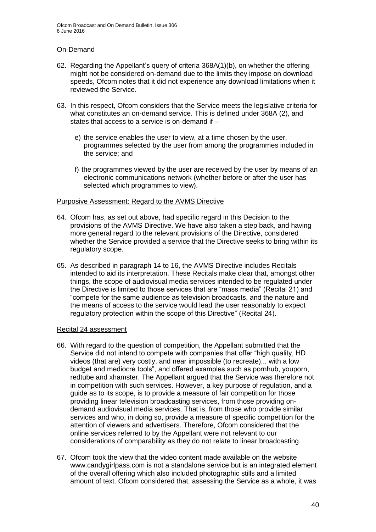#### On-Demand

- 62. Regarding the Appellant's query of criteria 368A(1)(b), on whether the offering might not be considered on-demand due to the limits they impose on download speeds, Ofcom notes that it did not experience any download limitations when it reviewed the Service.
- 63. In this respect, Ofcom considers that the Service meets the legislative criteria for what constitutes an on-demand service. This is defined under 368A (2), and states that access to a service is on-demand if –
	- e) the service enables the user to view, at a time chosen by the user, programmes selected by the user from among the programmes included in the service; and
	- f) the programmes viewed by the user are received by the user by means of an electronic communications network (whether before or after the user has selected which programmes to view).

#### Purposive Assessment: Regard to the AVMS Directive

- 64. Ofcom has, as set out above, had specific regard in this Decision to the provisions of the AVMS Directive. We have also taken a step back, and having more general regard to the relevant provisions of the Directive, considered whether the Service provided a service that the Directive seeks to bring within its regulatory scope.
- 65. As described in paragraph 14 to 16, the AVMS Directive includes Recitals intended to aid its interpretation. These Recitals make clear that, amongst other things, the scope of audiovisual media services intended to be regulated under the Directive is limited to those services that are "mass media" (Recital 21) and "compete for the same audience as television broadcasts, and the nature and the means of access to the service would lead the user reasonably to expect regulatory protection within the scope of this Directive" (Recital 24).

#### Recital 24 assessment

- 66. With regard to the question of competition, the Appellant submitted that the Service did not intend to compete with companies that offer "high quality, HD videos (that are) very costly, and near impossible (to recreate)... with a low budget and mediocre tools", and offered examples such as pornhub, youporn, redtube and xhamster. The Appellant argued that the Service was therefore not in competition with such services. However, a key purpose of regulation, and a guide as to its scope, is to provide a measure of fair competition for those providing linear television broadcasting services, from those providing ondemand audiovisual media services. That is, from those who provide similar services and who, in doing so, provide a measure of specific competition for the attention of viewers and advertisers. Therefore, Ofcom considered that the online services referred to by the Appellant were not relevant to our considerations of comparability as they do not relate to linear broadcasting.
- 67. Ofcom took the view that the video content made available on the website www.candygirlpass.com is not a standalone service but is an integrated element of the overall offering which also included photographic stills and a limited amount of text. Ofcom considered that, assessing the Service as a whole, it was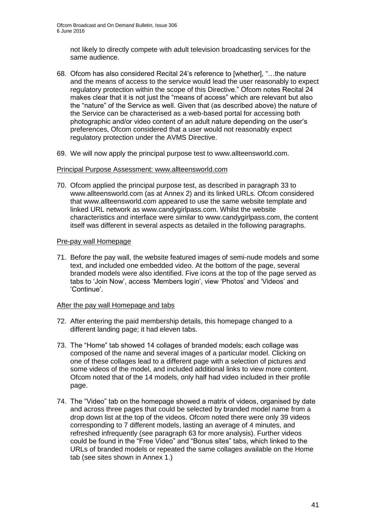not likely to directly compete with adult television broadcasting services for the same audience.

- 68. Ofcom has also considered Recital 24's reference to [whether], "…the nature and the means of access to the service would lead the user reasonably to expect regulatory protection within the scope of this Directive." Ofcom notes Recital 24 makes clear that it is not just the "means of access" which are relevant but also the "nature" of the Service as well. Given that (as described above) the nature of the Service can be characterised as a web-based portal for accessing both photographic and/or video content of an adult nature depending on the user's preferences, Ofcom considered that a user would not reasonably expect regulatory protection under the AVMS Directive.
- 69. We will now apply the principal purpose test to www.allteensworld.com.

#### Principal Purpose Assessment: www.allteensworld.com

70. Ofcom applied the principal purpose test, as described in paragraph 33 to www.allteensworld.com (as at Annex 2) and its linked URLs. Ofcom considered that www.allteensworld.com appeared to use the same website template and linked URL network as www.candygirlpass.com. Whilst the website characteristics and interface were similar to www.candygirlpass.com, the content itself was different in several aspects as detailed in the following paragraphs.

#### Pre-pay wall Homepage

71. Before the pay wall, the website featured images of semi-nude models and some text, and included one embedded video. At the bottom of the page, several branded models were also identified. Five icons at the top of the page served as tabs to 'Join Now', access 'Members login', view 'Photos' and 'Videos' and 'Continue'.

#### After the pay wall Homepage and tabs

- 72. After entering the paid membership details, this homepage changed to a different landing page; it had eleven tabs.
- 73. The "Home" tab showed 14 collages of branded models; each collage was composed of the name and several images of a particular model. Clicking on one of these collages lead to a different page with a selection of pictures and some videos of the model, and included additional links to view more content. Ofcom noted that of the 14 models, only half had video included in their profile page.
- 74. The "Video" tab on the homepage showed a matrix of videos, organised by date and across three pages that could be selected by branded model name from a drop down list at the top of the videos. Ofcom noted there were only 39 videos corresponding to 7 different models, lasting an average of 4 minutes, and refreshed infrequently (see paragraph 63 for more analysis). Further videos could be found in the "Free Video" and "Bonus sites" tabs, which linked to the URLs of branded models or repeated the same collages available on the Home tab (see sites shown in Annex 1.)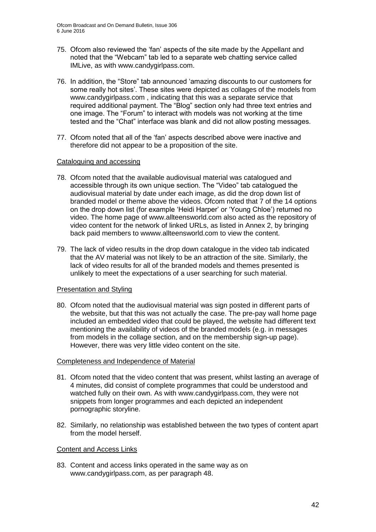- 75. Ofcom also reviewed the 'fan' aspects of the site made by the Appellant and noted that the "Webcam" tab led to a separate web chatting service called IMLive, as with www.candygirlpass.com.
- 76. In addition, the "Store" tab announced 'amazing discounts to our customers for some really hot sites'. These sites were depicted as collages of the models from www.candygirlpass.com , indicating that this was a separate service that required additional payment. The "Blog" section only had three text entries and one image. The "Forum" to interact with models was not working at the time tested and the "Chat" interface was blank and did not allow posting messages.
- 77. Ofcom noted that all of the 'fan' aspects described above were inactive and therefore did not appear to be a proposition of the site.

#### Cataloguing and accessing

- 78. Ofcom noted that the available audiovisual material was catalogued and accessible through its own unique section. The "Video" tab catalogued the audiovisual material by date under each image, as did the drop down list of branded model or theme above the videos. Ofcom noted that 7 of the 14 options on the drop down list (for example 'Heidi Harper' or 'Young Chloe') returned no video. The home page of www.allteensworld.com also acted as the repository of video content for the network of linked URLs, as listed in Annex 2, by bringing back paid members to wwww.allteensworld.com to view the content.
- 79. The lack of video results in the drop down catalogue in the video tab indicated that the AV material was not likely to be an attraction of the site. Similarly, the lack of video results for all of the branded models and themes presented is unlikely to meet the expectations of a user searching for such material.

#### Presentation and Styling

80. Ofcom noted that the audiovisual material was sign posted in different parts of the website, but that this was not actually the case. The pre-pay wall home page included an embedded video that could be played, the website had different text mentioning the availability of videos of the branded models (e.g. in messages from models in the collage section, and on the membership sign-up page). However, there was very little video content on the site.

#### Completeness and Independence of Material

- 81. Ofcom noted that the video content that was present, whilst lasting an average of 4 minutes, did consist of complete programmes that could be understood and watched fully on their own. As with www.candygirlpass.com, they were not snippets from longer programmes and each depicted an independent pornographic storyline.
- 82. Similarly, no relationship was established between the two types of content apart from the model herself.

#### Content and Access Links

83. Content and access links operated in the same way as on www.candygirlpass.com, as per paragraph 48.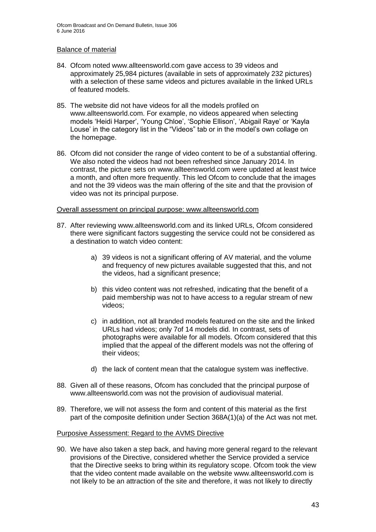#### Balance of material

- 84. Ofcom noted www.allteensworld.com gave access to 39 videos and approximately 25,984 pictures (available in sets of approximately 232 pictures) with a selection of these same videos and pictures available in the linked URLs of featured models.
- 85. The website did not have videos for all the models profiled on www.allteensworld.com. For example, no videos appeared when selecting models 'Heidi Harper', 'Young Chloe', 'Sophie Ellison', 'Abigail Raye' or 'Kayla Louse' in the category list in the "Videos" tab or in the model's own collage on the homepage.
- 86. Ofcom did not consider the range of video content to be of a substantial offering. We also noted the videos had not been refreshed since January 2014. In contrast, the picture sets on www.allteensworld.com were updated at least twice a month, and often more frequently. This led Ofcom to conclude that the images and not the 39 videos was the main offering of the site and that the provision of video was not its principal purpose.

#### Overall assessment on principal purpose: www.allteensworld.com

- 87. After reviewing www.allteensworld.com and its linked URLs, Ofcom considered there were significant factors suggesting the service could not be considered as a destination to watch video content:
	- a) 39 videos is not a significant offering of AV material, and the volume and frequency of new pictures available suggested that this, and not the videos, had a significant presence;
	- b) this video content was not refreshed, indicating that the benefit of a paid membership was not to have access to a regular stream of new videos;
	- c) in addition, not all branded models featured on the site and the linked URLs had videos; only 7of 14 models did. In contrast, sets of photographs were available for all models. Ofcom considered that this implied that the appeal of the different models was not the offering of their videos;
	- d) the lack of content mean that the catalogue system was ineffective.
- 88. Given all of these reasons, Ofcom has concluded that the principal purpose of www.allteensworld.com was not the provision of audiovisual material.
- 89. Therefore, we will not assess the form and content of this material as the first part of the composite definition under Section 368A(1)(a) of the Act was not met.

#### Purposive Assessment: Regard to the AVMS Directive

90. We have also taken a step back, and having more general regard to the relevant provisions of the Directive, considered whether the Service provided a service that the Directive seeks to bring within its regulatory scope. Ofcom took the view that the video content made available on the website www.allteensworld.com is not likely to be an attraction of the site and therefore, it was not likely to directly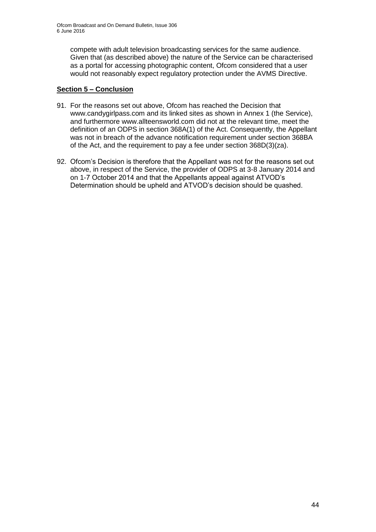compete with adult television broadcasting services for the same audience. Given that (as described above) the nature of the Service can be characterised as a portal for accessing photographic content, Ofcom considered that a user would not reasonably expect regulatory protection under the AVMS Directive.

### **Section 5 – Conclusion**

- 91. For the reasons set out above, Ofcom has reached the Decision that www.candygirlpass.com and its linked sites as shown in Annex 1 (the Service), and furthermore www.allteensworld.com did not at the relevant time, meet the definition of an ODPS in section 368A(1) of the Act. Consequently, the Appellant was not in breach of the advance notification requirement under section 368BA of the Act, and the requirement to pay a fee under section 368D(3)(za).
- 92. Ofcom's Decision is therefore that the Appellant was not for the reasons set out above, in respect of the Service, the provider of ODPS at 3-8 January 2014 and on 1-7 October 2014 and that the Appellants appeal against ATVOD's Determination should be upheld and ATVOD's decision should be quashed.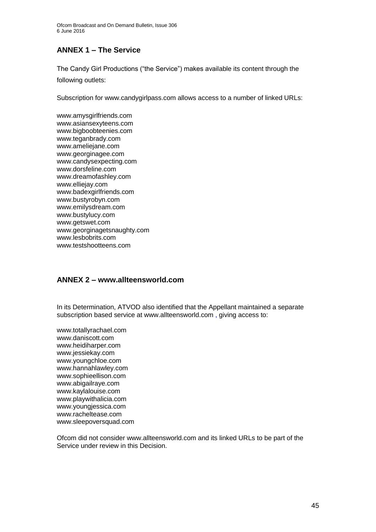# **ANNEX 1 – The Service**

The Candy Girl Productions ("the Service") makes available its content through the following outlets:

Subscription for www.candygirlpass.com allows access to a number of linked URLs:

www.amysgirlfriends.com www.asiansexyteens.com www.bigboobteenies.com www.teganbrady.com www.ameliejane.com www.georginagee.com www.candysexpecting.com www.dorsfeline.com www.dreamofashley.com www.elliejay.com www.badexgirlfriends.com www.bustyrobyn.com www.emilysdream.com www.bustylucy.com www.getswet.com www.georginagetsnaughty.com www.lesbobrits.com www.testshootteens.com

## **ANNEX 2 – www.allteensworld.com**

In its Determination, ATVOD also identified that the Appellant maintained a separate subscription based service at www.allteensworld.com , giving access to:

www.totallyrachael.com www.daniscott.com www.heidiharper.com www.jessiekay.com www.youngchloe.com www.hannahlawley.com www.sophieellison.com www.abigailraye.com www.kaylalouise.com www.playwithalicia.com www.youngjessica.com www.racheltease.com www.sleepoversquad.com

Ofcom did not consider www.allteensworld.com and its linked URLs to be part of the Service under review in this Decision.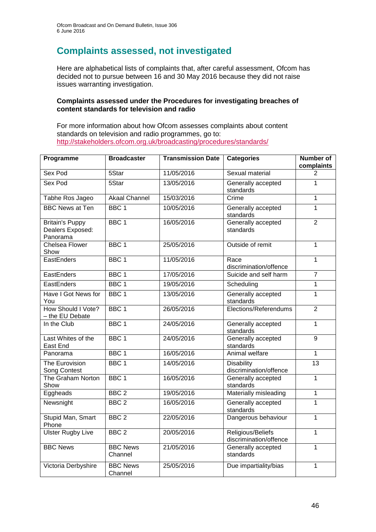# **Complaints assessed, not investigated**

Here are alphabetical lists of complaints that, after careful assessment, Ofcom has decided not to pursue between 16 and 30 May 2016 because they did not raise issues warranting investigation.

#### **Complaints assessed under the Procedures for investigating breaches of content standards for television and radio**

For more information about how Ofcom assesses complaints about content standards on television and radio programmes, go to: <http://stakeholders.ofcom.org.uk/broadcasting/procedures/standards/>

| Programme                                              | <b>Broadcaster</b>         | <b>Transmission Date</b> | <b>Categories</b>                           | <b>Number of</b><br>complaints |
|--------------------------------------------------------|----------------------------|--------------------------|---------------------------------------------|--------------------------------|
| Sex Pod                                                | 5Star                      | 11/05/2016               | Sexual material                             | $\overline{2}$                 |
| Sex Pod                                                | 5Star                      | 13/05/2016               | Generally accepted<br>standards             | 1                              |
| Tabhe Ros Jageo                                        | <b>Akaal Channel</b>       | 15/03/2016               | Crime                                       | $\overline{1}$                 |
| <b>BBC News at Ten</b>                                 | BBC <sub>1</sub>           | 10/05/2016               | Generally accepted<br>standards             | $\mathbf{1}$                   |
| <b>Britain's Puppy</b><br>Dealers Exposed:<br>Panorama | BBC <sub>1</sub>           | 16/05/2016               | Generally accepted<br>standards             | $\overline{2}$                 |
| <b>Chelsea Flower</b><br>Show                          | BBC <sub>1</sub>           | 25/05/2016               | Outside of remit                            | $\overline{1}$                 |
| EastEnders                                             | BBC <sub>1</sub>           | 11/05/2016               | Race<br>discrimination/offence              | $\overline{1}$                 |
| EastEnders                                             | BBC <sub>1</sub>           | 17/05/2016               | Suicide and self harm                       | $\overline{7}$                 |
| EastEnders                                             | BBC <sub>1</sub>           | 19/05/2016               | Scheduling                                  | $\mathbf{1}$                   |
| Have I Got News for<br>You                             | BBC <sub>1</sub>           | 13/05/2016               | Generally accepted<br>standards             | $\overline{1}$                 |
| How Should I Vote?<br>- the EU Debate                  | BBC <sub>1</sub>           | 26/05/2016               | Elections/Referendums                       | $\overline{2}$                 |
| In the Club                                            | BBC <sub>1</sub>           | 24/05/2016               | Generally accepted<br>standards             | $\overline{1}$                 |
| Last Whites of the<br>East End                         | BBC <sub>1</sub>           | 24/05/2016               | Generally accepted<br>standards             | 9                              |
| Panorama                                               | BBC <sub>1</sub>           | 16/05/2016               | Animal welfare                              | $\mathbf{1}$                   |
| The Eurovision<br>Song Contest                         | BBC <sub>1</sub>           | 14/05/2016               | <b>Disability</b><br>discrimination/offence | 13                             |
| The Graham Norton<br>Show                              | BBC <sub>1</sub>           | 16/05/2016               | Generally accepted<br>standards             | $\overline{1}$                 |
| Eggheads                                               | BBC <sub>2</sub>           | 19/05/2016               | Materially misleading                       | $\overline{1}$                 |
| Newsnight                                              | BBC <sub>2</sub>           | 16/05/2016               | Generally accepted<br>standards             | $\overline{1}$                 |
| Stupid Man, Smart<br>Phone                             | BBC <sub>2</sub>           | 22/05/2016               | Dangerous behaviour                         | $\mathbf{1}$                   |
| <b>Ulster Rugby Live</b>                               | BBC <sub>2</sub>           | 20/05/2016               | Religious/Beliefs<br>discrimination/offence | $\overline{1}$                 |
| <b>BBC News</b>                                        | <b>BBC News</b><br>Channel | 21/05/2016               | Generally accepted<br>standards             | $\mathbf{1}$                   |
| Victoria Derbyshire                                    | <b>BBC News</b><br>Channel | 25/05/2016               | Due impartiality/bias                       | $\overline{1}$                 |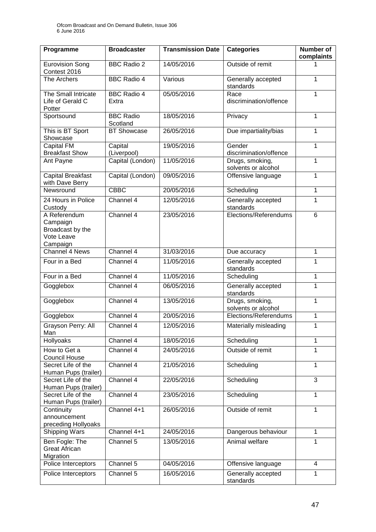| Programme                                                              | <b>Broadcaster</b>           | <b>Transmission Date</b> | <b>Categories</b>                      | Number of<br>complaints |
|------------------------------------------------------------------------|------------------------------|--------------------------|----------------------------------------|-------------------------|
| <b>Eurovision Song</b><br>Contest 2016                                 | <b>BBC Radio 2</b>           | 14/05/2016               | Outside of remit                       | 1                       |
| The Archers                                                            | <b>BBC Radio 4</b>           | Various                  | Generally accepted<br>standards        | 1                       |
| The Small Intricate<br>Life of Gerald C<br>Potter                      | <b>BBC Radio 4</b><br>Extra  | 05/05/2016               | Race<br>discrimination/offence         | 1                       |
| Sportsound                                                             | <b>BBC Radio</b><br>Scotland | 18/05/2016               | Privacy                                | 1                       |
| This is BT Sport<br>Showcase                                           | BT Showcase                  | 26/05/2016               | Due impartiality/bias                  | 1                       |
| Capital FM<br><b>Breakfast Show</b>                                    | Capital<br>(Liverpool)       | 19/05/2016               | Gender<br>discrimination/offence       | 1                       |
| Ant Payne                                                              | Capital (London)             | 11/05/2016               | Drugs, smoking,<br>solvents or alcohol | 1                       |
| <b>Capital Breakfast</b><br>with Dave Berry                            | Capital (London)             | 09/05/2016               | Offensive language                     | 1                       |
| Newsround                                                              | <b>CBBC</b>                  | 20/05/2016               | Scheduling                             | 1                       |
| 24 Hours in Police<br>Custody                                          | Channel 4                    | 12/05/2016               | Generally accepted<br>standards        | 1                       |
| A Referendum<br>Campaign<br>Broadcast by the<br>Vote Leave<br>Campaign | Channel 4                    | 23/05/2016               | Elections/Referendums                  | 6                       |
| Channel 4 News                                                         | Channel 4                    | 31/03/2016               | Due accuracy                           | 1                       |
| Four in a Bed                                                          | Channel 4                    | 11/05/2016               | Generally accepted<br>standards        | $\mathbf{1}$            |
| Four in a Bed                                                          | Channel 4                    | 11/05/2016               | Scheduling                             | 1                       |
| Gogglebox                                                              | Channel 4                    | 06/05/2016               | Generally accepted<br>standards        | $\mathbf{1}$            |
| Gogglebox                                                              | Channel 4                    | 13/05/2016               | Drugs, smoking,<br>solvents or alcohol | $\mathbf{1}$            |
| Gogglebox                                                              | Channel 4                    | 20/05/2016               | Elections/Referendums                  | 1                       |
| Grayson Perry: All<br>Man                                              | Channel 4                    | 12/05/2016               | Materially misleading                  | 1                       |
| Hollyoaks                                                              | Channel 4                    | 18/05/2016               | Scheduling                             | 1                       |
| How to Get a<br><b>Council House</b>                                   | Channel 4                    | 24/05/2016               | Outside of remit                       | 1                       |
| Secret Life of the<br>Human Pups (trailer)                             | Channel 4                    | 21/05/2016               | Scheduling                             | 1                       |
| Secret Life of the<br>Human Pups (trailer)                             | Channel 4                    | 22/05/2016               | Scheduling                             | $\overline{3}$          |
| Secret Life of the<br>Human Pups (trailer)                             | Channel 4                    | 23/05/2016               | Scheduling                             | 1                       |
| Continuity<br>announcement<br>preceding Hollyoaks                      | Channel 4+1                  | 26/05/2016               | Outside of remit                       | $\mathbf{1}$            |
| <b>Shipping Wars</b>                                                   | Channel 4+1                  | 24/05/2016               | Dangerous behaviour                    | $\mathbf{1}$            |
| Ben Fogle: The<br><b>Great African</b><br>Migration                    | Channel 5                    | 13/05/2016               | Animal welfare                         | $\mathbf{1}$            |
| Police Interceptors                                                    | Channel 5                    | 04/05/2016               | Offensive language                     | $\overline{4}$          |
| Police Interceptors                                                    | Channel 5                    | 16/05/2016               | Generally accepted<br>standards        | 1                       |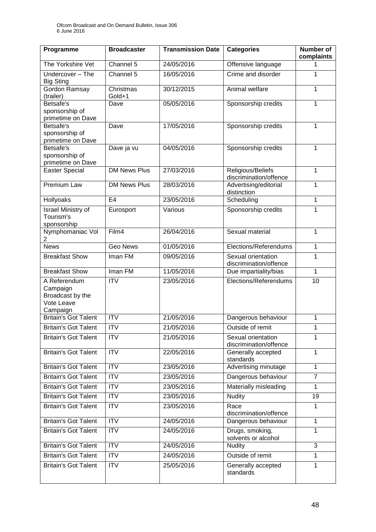| Programme                                                              | <b>Broadcaster</b>  | <b>Transmission Date</b> | <b>Categories</b>                            | <b>Number of</b><br>complaints |
|------------------------------------------------------------------------|---------------------|--------------------------|----------------------------------------------|--------------------------------|
| The Yorkshire Vet                                                      | Channel 5           | 24/05/2016               | Offensive language                           | 1                              |
| Undercover - The<br><b>Big Sting</b>                                   | Channel 5           | 16/05/2016               | Crime and disorder                           | 1                              |
| Gordon Ramsay<br>(trailer)                                             | Christmas<br>Gold+1 | 30/12/2015               | Animal welfare                               | 1                              |
| Betsafe's<br>sponsorship of<br>primetime on Dave                       | Dave                | 05/05/2016               | Sponsorship credits                          | 1                              |
| Betsafe's<br>sponsorship of<br>primetime on Dave                       | Dave                | 17/05/2016               | Sponsorship credits                          | $\mathbf{1}$                   |
| Betsafe's<br>sponsorship of<br>primetime on Dave                       | Dave ja vu          | 04/05/2016               | Sponsorship credits                          | $\mathbf{1}$                   |
| <b>Easter Special</b>                                                  | <b>DM News Plus</b> | 27/03/2016               | Religious/Beliefs<br>discrimination/offence  | 1                              |
| Premium Law                                                            | <b>DM News Plus</b> | 28/03/2016               | Advertising/editorial<br>distinction         | 1                              |
| <b>Hollyoaks</b>                                                       | E <sub>4</sub>      | 23/05/2016               | Scheduling                                   | 1                              |
| <b>Israel Ministry of</b><br>Tourism's<br>sponsorship                  | Eurosport           | Various                  | Sponsorship credits                          | 1                              |
| Nymphomaniac Vol<br>2                                                  | Film4               | 26/04/2016               | Sexual material                              | 1                              |
| <b>News</b>                                                            | <b>Geo News</b>     | 01/05/2016               | Elections/Referendums                        | $\mathbf{1}$                   |
| <b>Breakfast Show</b>                                                  | Iman FM             | 09/05/2016               | Sexual orientation<br>discrimination/offence | 1                              |
| <b>Breakfast Show</b>                                                  | Iman FM             | 11/05/2016               | Due impartiality/bias                        | $\mathbf{1}$                   |
| A Referendum<br>Campaign<br>Broadcast by the<br>Vote Leave<br>Campaign | <b>ITV</b>          | 23/05/2016               | Elections/Referendums                        | 10                             |
| <b>Britain's Got Talent</b>                                            | <b>ITV</b>          | 21/05/2016               | Dangerous behaviour                          | 1                              |
| <b>Britain's Got Talent</b>                                            | <b>ITV</b>          | 21/05/2016               | Outside of remit                             | 1                              |
| <b>Britain's Got Talent</b>                                            | <b>ITV</b>          | 21/05/2016               | Sexual orientation<br>discrimination/offence | 1                              |
| <b>Britain's Got Talent</b>                                            | <b>ITV</b>          | 22/05/2016               | Generally accepted<br>standards              | 1                              |
| <b>Britain's Got Talent</b>                                            | <b>ITV</b>          | 23/05/2016               | Advertising minutage<br>$\mathbf{1}$         |                                |
| <b>Britain's Got Talent</b>                                            | $\overline{ITV}$    | 23/05/2016               | Dangerous behaviour                          | $\overline{7}$                 |
| <b>Britain's Got Talent</b>                                            | <b>ITV</b>          | 23/05/2016               | Materially misleading<br>$\mathbf{1}$        |                                |
| <b>Britain's Got Talent</b>                                            | <b>ITV</b>          | 23/05/2016               | <b>Nudity</b>                                | 19                             |
| <b>Britain's Got Talent</b>                                            | <b>ITV</b>          | 23/05/2016               | Race<br>discrimination/offence               | 1                              |
| <b>Britain's Got Talent</b>                                            | <b>ITV</b>          | 24/05/2016               | Dangerous behaviour<br>1                     |                                |
| <b>Britain's Got Talent</b>                                            | ITV                 | 24/05/2016               | Drugs, smoking,<br>solvents or alcohol       | 1                              |
| <b>Britain's Got Talent</b>                                            | <b>ITV</b>          | 24/05/2016               | <b>Nudity</b>                                | 3                              |
| <b>Britain's Got Talent</b>                                            | <b>ITV</b>          | 24/05/2016               | Outside of remit                             | 1                              |
| <b>Britain's Got Talent</b>                                            | <b>ITV</b>          | 25/05/2016               | Generally accepted<br>standards              | 1                              |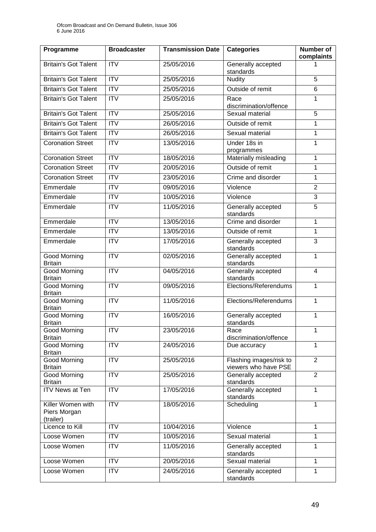| Programme                                      | <b>Broadcaster</b>     | <b>Transmission Date</b> | <b>Categories</b>                               | <b>Number of</b><br>complaints |
|------------------------------------------------|------------------------|--------------------------|-------------------------------------------------|--------------------------------|
| <b>Britain's Got Talent</b>                    | <b>ITV</b>             | 25/05/2016               | Generally accepted<br>standards                 | 1                              |
| <b>Britain's Got Talent</b>                    | <b>ITV</b>             | 25/05/2016               | <b>Nudity</b>                                   | 5                              |
| <b>Britain's Got Talent</b>                    | $\overline{ITV}$       | 25/05/2016               | Outside of remit                                | 6                              |
| <b>Britain's Got Talent</b>                    | $\overline{ITV}$       | 25/05/2016               | Race<br>discrimination/offence                  | 1                              |
| <b>Britain's Got Talent</b>                    | $\overline{ITV}$       | 25/05/2016               | Sexual material                                 | 5                              |
| <b>Britain's Got Talent</b>                    | ITV                    | 26/05/2016               | Outside of remit                                | 1                              |
| <b>Britain's Got Talent</b>                    | $\overline{IV}$        | 26/05/2016               | Sexual material                                 | 1                              |
| <b>Coronation Street</b>                       | <b>ITV</b>             | 13/05/2016               | Under 18s in<br>programmes                      | $\mathbf{1}$                   |
| <b>Coronation Street</b>                       | <b>ITV</b>             | 18/05/2016               | Materially misleading                           | 1                              |
| <b>Coronation Street</b>                       | $\overline{ITV}$       | 20/05/2016               | Outside of remit                                | 1                              |
| <b>Coronation Street</b>                       | <b>ITV</b>             | 23/05/2016               | Crime and disorder                              | $\mathbf{1}$                   |
| Emmerdale                                      | $\overline{IV}$        | 09/05/2016               | Violence                                        | $\overline{2}$                 |
| Emmerdale                                      | <b>ITV</b>             | 10/05/2016               | Violence                                        | $\overline{3}$                 |
| Emmerdale                                      | $\overline{\text{IV}}$ | 11/05/2016               | Generally accepted<br>standards                 | $\overline{5}$                 |
| Emmerdale                                      | <b>ITV</b>             | 13/05/2016               | Crime and disorder                              | 1                              |
| Emmerdale                                      | $\overline{ITV}$       | 13/05/2016               | Outside of remit                                | 1                              |
| Emmerdale                                      | <b>ITV</b>             | 17/05/2016               | Generally accepted<br>standards                 | 3                              |
| Good Morning<br><b>Britain</b>                 | $\overline{ITV}$       | 02/05/2016               | Generally accepted<br>standards                 | $\mathbf{1}$                   |
| Good Morning<br><b>Britain</b>                 | $\overline{ITV}$       | 04/05/2016               | Generally accepted<br>standards                 | $\overline{4}$                 |
| Good Morning<br><b>Britain</b>                 | ITV                    | 09/05/2016               | Elections/Referendums                           | $\mathbf{1}$                   |
| <b>Good Morning</b><br><b>Britain</b>          | <b>ITV</b>             | 11/05/2016               | Elections/Referendums                           | $\mathbf 1$                    |
| Good Morning<br><b>Britain</b>                 | <b>ITV</b>             | 16/05/2016               | Generally accepted<br>standards                 | $\mathbf{1}$                   |
| Good Morning<br><b>Britain</b>                 | <b>ITV</b>             | 23/05/2016               | Race<br>discrimination/offence                  | 1                              |
| Good Morning<br><b>Britain</b>                 | <b>ITV</b>             | 24/05/2016               | Due accuracy                                    | $\mathbf{1}$                   |
| Good Morning<br><b>Britain</b>                 | <b>ITV</b>             | 25/05/2016               | Flashing images/risk to<br>viewers who have PSE | $\overline{2}$                 |
| <b>Good Morning</b><br><b>Britain</b>          | $\overline{IV}$        | 25/05/2016               | Generally accepted<br>standards                 | $\overline{2}$                 |
| <b>ITV News at Ten</b>                         | <b>ITV</b>             | 17/05/2016               | Generally accepted<br>standards                 | $\mathbf{1}$                   |
| Killer Women with<br>Piers Morgan<br>(trailer) | <b>ITV</b>             | 18/05/2016               | Scheduling                                      | 1                              |
| Licence to Kill                                | <b>ITV</b>             | 10/04/2016               | Violence                                        | 1                              |
| Loose Women                                    | <b>ITV</b>             | 10/05/2016               | Sexual material                                 | $\mathbf{1}$                   |
| Loose Women                                    | <b>ITV</b>             | 11/05/2016               | Generally accepted<br>standards                 | 1                              |
| Loose Women                                    | <b>ITV</b>             | 20/05/2016               | Sexual material                                 | $\mathbf{1}$                   |
| Loose Women                                    | <b>ITV</b>             | 24/05/2016               | Generally accepted<br>standards                 | 1                              |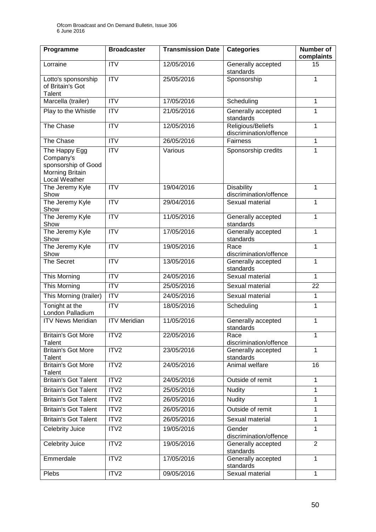| Programme                                                                                    | <b>Broadcaster</b>      | <b>Transmission Date</b> | <b>Categories</b>                           | <b>Number of</b><br>complaints |
|----------------------------------------------------------------------------------------------|-------------------------|--------------------------|---------------------------------------------|--------------------------------|
| Lorraine                                                                                     | <b>ITV</b>              | 12/05/2016               | Generally accepted<br>standards             | 15                             |
| Lotto's sponsorship<br>of Britain's Got<br><b>Talent</b>                                     | <b>ITV</b>              | 25/05/2016               | Sponsorship                                 | 1                              |
| Marcella (trailer)                                                                           | <b>ITV</b>              | 17/05/2016               | Scheduling                                  | $\mathbf{1}$                   |
| Play to the Whistle                                                                          | $\overline{\text{ITV}}$ | 21/05/2016               | Generally accepted<br>standards             | $\mathbf{1}$                   |
| The Chase                                                                                    | <b>ITV</b>              | 12/05/2016               | Religious/Beliefs<br>discrimination/offence | $\mathbf{1}$                   |
| The Chase                                                                                    | <b>ITV</b>              | 26/05/2016               | Fairness                                    | 1                              |
| The Happy Egg<br>Company's<br>sponsorship of Good<br><b>Morning Britain</b><br>Local Weather | <b>ITV</b>              | Various                  | Sponsorship credits                         | $\mathbf{1}$                   |
| The Jeremy Kyle<br>Show                                                                      | $\overline{\text{IV}}$  | 19/04/2016               | <b>Disability</b><br>discrimination/offence | $\mathbf{1}$                   |
| The Jeremy Kyle<br>Show                                                                      | <b>ITV</b>              | 29/04/2016               | Sexual material                             | $\mathbf{1}$                   |
| The Jeremy Kyle<br>Show                                                                      | $\overline{IV}$         | 11/05/2016               | Generally accepted<br>standards             | $\mathbf{1}$                   |
| The Jeremy Kyle<br>Show                                                                      | <b>ITV</b>              | 17/05/2016               | Generally accepted<br>standards             | $\mathbf{1}$                   |
| The Jeremy Kyle<br>Show                                                                      | <b>ITV</b>              | 19/05/2016               | Race<br>discrimination/offence              | $\mathbf{1}$                   |
| <b>The Secret</b>                                                                            | <b>ITV</b>              | 13/05/2016               | Generally accepted<br>standards             | $\mathbf{1}$                   |
| This Morning                                                                                 | <b>ITV</b>              | 24/05/2016               | Sexual material                             | $\mathbf{1}$                   |
| <b>This Morning</b>                                                                          | $\overline{IV}$         | 25/05/2016               | Sexual material                             | 22                             |
| This Morning (trailer)                                                                       | <b>ITV</b>              | 24/05/2016               | Sexual material                             | $\mathbf 1$                    |
| Tonight at the<br>London Palladium                                                           | $\overline{IV}$         | 18/05/2016               | Scheduling                                  | 1                              |
| <b>ITV News Meridian</b>                                                                     | <b>ITV Meridian</b>     | 11/05/2016               | Generally accepted<br>standards             | $\mathbf 1$                    |
| <b>Britain's Got More</b><br>Talent                                                          | ITV <sub>2</sub>        | 22/05/2016               | Race<br>discrimination/offence              | 1                              |
| <b>Britain's Got More</b><br>Talent                                                          | ITV2                    | 23/05/2016               | Generally accepted<br>standards             | $\mathbf{1}$                   |
| <b>Britain's Got More</b><br>Talent                                                          | ITV2                    | 24/05/2016               | Animal welfare                              | 16                             |
| <b>Britain's Got Talent</b>                                                                  | ITV2                    | 24/05/2016               | Outside of remit                            | 1                              |
| <b>Britain's Got Talent</b>                                                                  | ITV2                    | 25/05/2016               | <b>Nudity</b>                               | $\mathbf{1}$                   |
| <b>Britain's Got Talent</b>                                                                  | ITV2                    | 26/05/2016               | <b>Nudity</b>                               | $\mathbf{1}$                   |
| <b>Britain's Got Talent</b>                                                                  | ITV2                    | 26/05/2016               | Outside of remit                            | $\mathbf{1}$                   |
| <b>Britain's Got Talent</b>                                                                  | ITV2                    | 26/05/2016               | Sexual material                             | $\mathbf{1}$                   |
| Celebrity Juice                                                                              | ITV2                    | 19/05/2016               | Gender<br>discrimination/offence            | $\overline{1}$                 |
| Celebrity Juice                                                                              | ITV2                    | 19/05/2016               | Generally accepted<br>standards             | $\overline{2}$                 |
| Emmerdale                                                                                    | ITV2                    | 17/05/2016               | Generally accepted<br>standards             | $\mathbf{1}$                   |
| Plebs                                                                                        | ITV <sub>2</sub>        | 09/05/2016               | Sexual material                             | $\mathbf{1}$                   |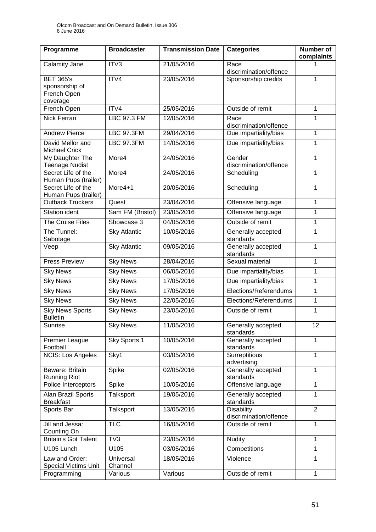| Programme                                                     | <b>Broadcaster</b>   | <b>Transmission Date</b> | <b>Categories</b>                           | Number of<br>complaints |
|---------------------------------------------------------------|----------------------|--------------------------|---------------------------------------------|-------------------------|
| Calamity Jane                                                 | ITV3                 | 21/05/2016               | Race<br>discrimination/offence              | 1                       |
| <b>BET 365's</b><br>sponsorship of<br>French Open<br>coverage | ITV4                 | 23/05/2016               | Sponsorship credits                         | 1                       |
| French Open                                                   | ITV4                 | 25/05/2016               | Outside of remit                            | 1                       |
| <b>Nick Ferrari</b>                                           | <b>LBC 97.3 FM</b>   | 12/05/2016               | Race<br>discrimination/offence              | 1                       |
| <b>Andrew Pierce</b>                                          | <b>LBC 97.3FM</b>    | 29/04/2016               | Due impartiality/bias                       | 1                       |
| David Mellor and<br><b>Michael Crick</b>                      | <b>LBC 97.3FM</b>    | 14/05/2016               | Due impartiality/bias                       | 1                       |
| My Daughter The<br><b>Teenage Nudist</b>                      | More4                | 24/05/2016               | Gender<br>discrimination/offence            | 1                       |
| Secret Life of the<br>Human Pups (trailer)                    | More4                | 24/05/2016               | Scheduling                                  | $\mathbf{1}$            |
| Secret Life of the<br>Human Pups (trailer)                    | More4+1              | 20/05/2016               | Scheduling                                  | $\mathbf{1}$            |
| <b>Outback Truckers</b>                                       | Quest                | 23/04/2016               | Offensive language                          | 1                       |
| <b>Station ident</b>                                          | Sam FM (Bristol)     | 23/05/2016               | Offensive language                          | 1                       |
| <b>The Cruise Files</b>                                       | Showcase 3           | 04/05/2016               | Outside of remit                            | $\mathbf{1}$            |
| The Tunnel:<br>Sabotage                                       | <b>Sky Atlantic</b>  | 10/05/2016               | Generally accepted<br>standards             | 1                       |
| Veep                                                          | <b>Sky Atlantic</b>  | 09/05/2016               | Generally accepted<br>standards             | $\mathbf{1}$            |
| <b>Press Preview</b>                                          | <b>Sky News</b>      | 28/04/2016               | Sexual material                             | 1                       |
| <b>Sky News</b>                                               | <b>Sky News</b>      | 06/05/2016               | Due impartiality/bias                       | $\mathbf{1}$            |
| <b>Sky News</b>                                               | <b>Sky News</b>      | 17/05/2016               | Due impartiality/bias                       | 1                       |
| <b>Sky News</b>                                               | <b>Sky News</b>      | 17/05/2016               | Elections/Referendums                       | 1                       |
| <b>Sky News</b>                                               | <b>Sky News</b>      | 22/05/2016               | Elections/Referendums                       | $\mathbf{1}$            |
| <b>Sky News Sports</b><br><b>Bulletin</b>                     | <b>Sky News</b>      | 23/05/2016               | Outside of remit                            | 1                       |
| Sunrise                                                       | <b>Sky News</b>      | 11/05/2016               | Generally accepted<br>standards             | 12                      |
| <b>Premier League</b><br>Football                             | Sky Sports 1         | 10/05/2016               | Generally accepted<br>standards             | 1                       |
| NCIS: Los Angeles                                             | Sky1                 | 03/05/2016               | Surreptitious<br>advertising                | 1                       |
| Beware: Britain<br><b>Running Riot</b>                        | Spike                | 02/05/2016               | Generally accepted<br>standards             | 1                       |
| Police Interceptors                                           | Spike                | 10/05/2016               | Offensive language                          | $\mathbf{1}$            |
| Alan Brazil Sports<br><b>Breakfast</b>                        | Talksport            | 19/05/2016               | Generally accepted<br>standards             | 1                       |
| Sports Bar                                                    | Talksport            | 13/05/2016               | <b>Disability</b><br>discrimination/offence | $\overline{2}$          |
| Jill and Jessa:<br>Counting On                                | <b>TLC</b>           | 16/05/2016               | Outside of remit                            | 1                       |
| <b>Britain's Got Talent</b>                                   | TV3                  | 23/05/2016               | <b>Nudity</b>                               | 1                       |
| U105 Lunch                                                    | U105                 | 03/05/2016               | Competitions                                | 1                       |
| Law and Order:<br><b>Special Victims Unit</b>                 | Universal<br>Channel | 18/05/2016               | Violence                                    | 1                       |
| Programming                                                   | Various              | Various                  | Outside of remit                            | 1                       |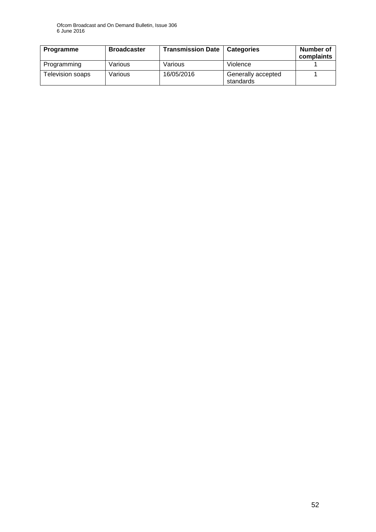| Programme        | <b>Broadcaster</b> | <b>Transmission Date</b> | <b>Categories</b>               | Number of<br>complaints |
|------------------|--------------------|--------------------------|---------------------------------|-------------------------|
| Programming      | Various            | Various                  | Violence                        |                         |
| Television soaps | Various            | 16/05/2016               | Generally accepted<br>standards |                         |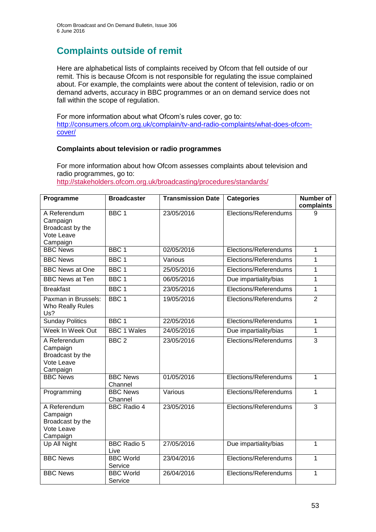# **Complaints outside of remit**

Here are alphabetical lists of complaints received by Ofcom that fell outside of our remit. This is because Ofcom is not responsible for regulating the issue complained about. For example, the complaints were about the content of television, radio or on demand adverts, accuracy in BBC programmes or an on demand service does not fall within the scope of regulation.

For more information about what Ofcom's rules cover, go to: [http://consumers.ofcom.org.uk/complain/tv-and-radio-complaints/what-does-ofcom](http://consumers.ofcom.org.uk/complain/tv-and-radio-complaints/what-does-ofcom-cover/)[cover/](http://consumers.ofcom.org.uk/complain/tv-and-radio-complaints/what-does-ofcom-cover/)

#### **Complaints about television or radio programmes**

For more information about how Ofcom assesses complaints about television and radio programmes, go to:

<http://stakeholders.ofcom.org.uk/broadcasting/procedures/standards/>

| Programme                                                              | <b>Broadcaster</b>          | <b>Transmission Date</b> | <b>Categories</b>     | <b>Number of</b><br>complaints |
|------------------------------------------------------------------------|-----------------------------|--------------------------|-----------------------|--------------------------------|
| A Referendum<br>Campaign<br>Broadcast by the<br>Vote Leave<br>Campaign | BBC <sub>1</sub>            | 23/05/2016               | Elections/Referendums | 9                              |
| <b>BBC News</b>                                                        | BBC <sub>1</sub>            | 02/05/2016               | Elections/Referendums | 1                              |
| <b>BBC News</b>                                                        | BBC <sub>1</sub>            | Various                  | Elections/Referendums | 1                              |
| <b>BBC News at One</b>                                                 | BBC <sub>1</sub>            | 25/05/2016               | Elections/Referendums | 1                              |
| <b>BBC News at Ten</b>                                                 | BBC <sub>1</sub>            | 06/05/2016               | Due impartiality/bias | 1                              |
| <b>Breakfast</b>                                                       | BBC <sub>1</sub>            | 23/05/2016               | Elections/Referendums | 1                              |
| Paxman in Brussels:<br>Who Really Rules<br>Us?                         | BBC <sub>1</sub>            | 19/05/2016               | Elections/Referendums | $\overline{2}$                 |
| <b>Sunday Politics</b>                                                 | BBC <sub>1</sub>            | 22/05/2016               | Elections/Referendums | 1                              |
| Week In Week Out                                                       | <b>BBC 1 Wales</b>          | 24/05/2016               | Due impartiality/bias | $\mathbf 1$                    |
| A Referendum<br>Campaign<br>Broadcast by the<br>Vote Leave<br>Campaign | BBC <sub>2</sub>            | 23/05/2016               | Elections/Referendums | $\overline{3}$                 |
| <b>BBC News</b>                                                        | <b>BBC News</b><br>Channel  | 01/05/2016               | Elections/Referendums | $\mathbf 1$                    |
| Programming                                                            | <b>BBC News</b><br>Channel  | Various                  | Elections/Referendums | 1                              |
| A Referendum<br>Campaign<br>Broadcast by the<br>Vote Leave<br>Campaign | <b>BBC Radio 4</b>          | 23/05/2016               | Elections/Referendums | $\overline{3}$                 |
| Up All Night                                                           | <b>BBC Radio 5</b><br>Live  | 27/05/2016               | Due impartiality/bias | 1                              |
| <b>BBC News</b>                                                        | <b>BBC World</b><br>Service | 23/04/2016               | Elections/Referendums | 1                              |
| <b>BBC News</b>                                                        | <b>BBC World</b><br>Service | 26/04/2016               | Elections/Referendums | 1                              |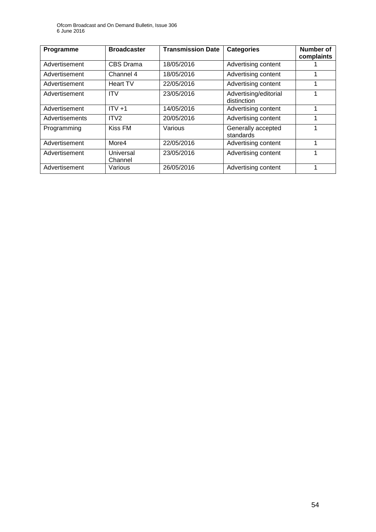Ofcom Broadcast and On Demand Bulletin, Issue 306 6 June 2016

| Programme      | <b>Broadcaster</b>   | <b>Transmission Date</b> | <b>Categories</b>                    | <b>Number of</b><br>complaints |
|----------------|----------------------|--------------------------|--------------------------------------|--------------------------------|
| Advertisement  | CBS Drama            | 18/05/2016               | Advertising content                  |                                |
| Advertisement  | Channel 4            | 18/05/2016               | Advertising content                  |                                |
| Advertisement  | <b>Heart TV</b>      | 22/05/2016               | Advertising content                  | 4                              |
| Advertisement  | <b>ITV</b>           | 23/05/2016               | Advertising/editorial<br>distinction | 1                              |
| Advertisement  | $ITV +1$             | 14/05/2016               | Advertising content                  | 1                              |
| Advertisements | ITV <sub>2</sub>     | 20/05/2016               | Advertising content                  | 1                              |
| Programming    | Kiss FM              | Various                  | Generally accepted<br>standards      |                                |
| Advertisement  | More4                | 22/05/2016               | Advertising content                  | 4                              |
| Advertisement  | Universal<br>Channel | 23/05/2016               | Advertising content                  | 4                              |
| Advertisement  | Various              | 26/05/2016               | Advertising content                  |                                |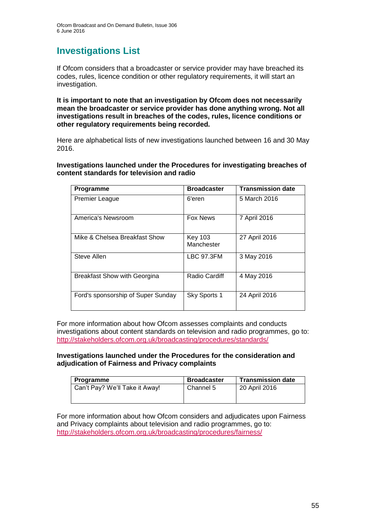# **Investigations List**

If Ofcom considers that a broadcaster or service provider may have breached its codes, rules, licence condition or other regulatory requirements, it will start an investigation.

**It is important to note that an investigation by Ofcom does not necessarily mean the broadcaster or service provider has done anything wrong. Not all investigations result in breaches of the codes, rules, licence conditions or other regulatory requirements being recorded.**

Here are alphabetical lists of new investigations launched between 16 and 30 May 2016.

**Investigations launched under the Procedures for investigating breaches of content standards for television and radio**

| Programme                           | <b>Broadcaster</b>           | <b>Transmission date</b> |
|-------------------------------------|------------------------------|--------------------------|
| <b>Premier League</b>               | 6'eren                       | 5 March 2016             |
| America's Newsroom                  | <b>Fox News</b>              | 7 April 2016             |
| Mike & Chelsea Breakfast Show       | <b>Key 103</b><br>Manchester | 27 April 2016            |
| Steve Allen                         | <b>LBC 97.3FM</b>            | 3 May 2016               |
| <b>Breakfast Show with Georgina</b> | <b>Radio Cardiff</b>         | 4 May 2016               |
| Ford's sponsorship of Super Sunday  | Sky Sports 1                 | 24 April 2016            |

For more information about how Ofcom assesses complaints and conducts investigations about content standards on television and radio programmes, go to: <http://stakeholders.ofcom.org.uk/broadcasting/procedures/standards/>

#### **Investigations launched under the Procedures for the consideration and adjudication of Fairness and Privacy complaints**

| Programme                      | <b>Broadcaster</b> | <b>Transmission date</b> |
|--------------------------------|--------------------|--------------------------|
| Can't Pay? We'll Take it Away! | l Channel 5        | 20 April 2016            |

For more information about how Ofcom considers and adjudicates upon Fairness and Privacy complaints about television and radio programmes, go to: <http://stakeholders.ofcom.org.uk/broadcasting/procedures/fairness/>